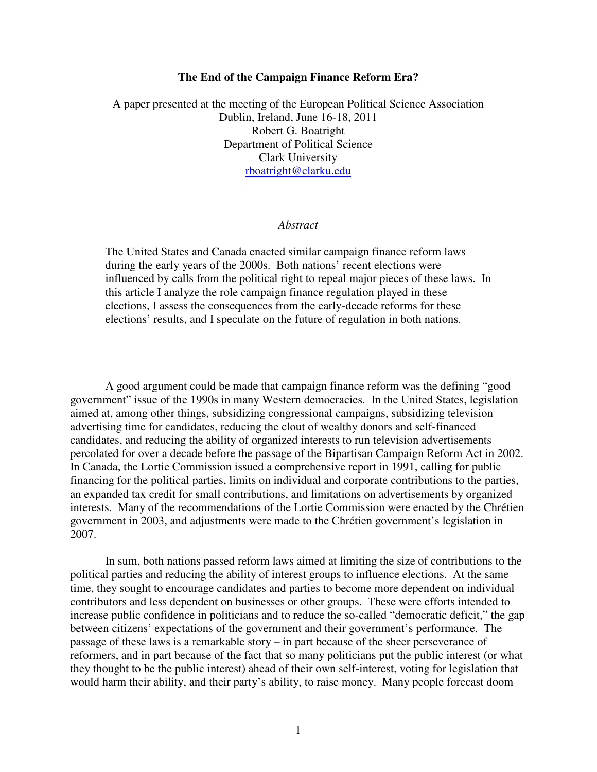## **The End of the Campaign Finance Reform Era?**

A paper presented at the meeting of the European Political Science Association Dublin, Ireland, June 16-18, 2011 Robert G. Boatright Department of Political Science Clark University rboatright@clarku.edu

#### *Abstract*

The United States and Canada enacted similar campaign finance reform laws during the early years of the 2000s. Both nations' recent elections were influenced by calls from the political right to repeal major pieces of these laws. In this article I analyze the role campaign finance regulation played in these elections, I assess the consequences from the early-decade reforms for these elections' results, and I speculate on the future of regulation in both nations.

 A good argument could be made that campaign finance reform was the defining "good government" issue of the 1990s in many Western democracies. In the United States, legislation aimed at, among other things, subsidizing congressional campaigns, subsidizing television advertising time for candidates, reducing the clout of wealthy donors and self-financed candidates, and reducing the ability of organized interests to run television advertisements percolated for over a decade before the passage of the Bipartisan Campaign Reform Act in 2002. In Canada, the Lortie Commission issued a comprehensive report in 1991, calling for public financing for the political parties, limits on individual and corporate contributions to the parties, an expanded tax credit for small contributions, and limitations on advertisements by organized interests. Many of the recommendations of the Lortie Commission were enacted by the Chrétien government in 2003, and adjustments were made to the Chrétien government's legislation in 2007.

In sum, both nations passed reform laws aimed at limiting the size of contributions to the political parties and reducing the ability of interest groups to influence elections. At the same time, they sought to encourage candidates and parties to become more dependent on individual contributors and less dependent on businesses or other groups. These were efforts intended to increase public confidence in politicians and to reduce the so-called "democratic deficit," the gap between citizens' expectations of the government and their government's performance. The passage of these laws is a remarkable story – in part because of the sheer perseverance of reformers, and in part because of the fact that so many politicians put the public interest (or what they thought to be the public interest) ahead of their own self-interest, voting for legislation that would harm their ability, and their party's ability, to raise money. Many people forecast doom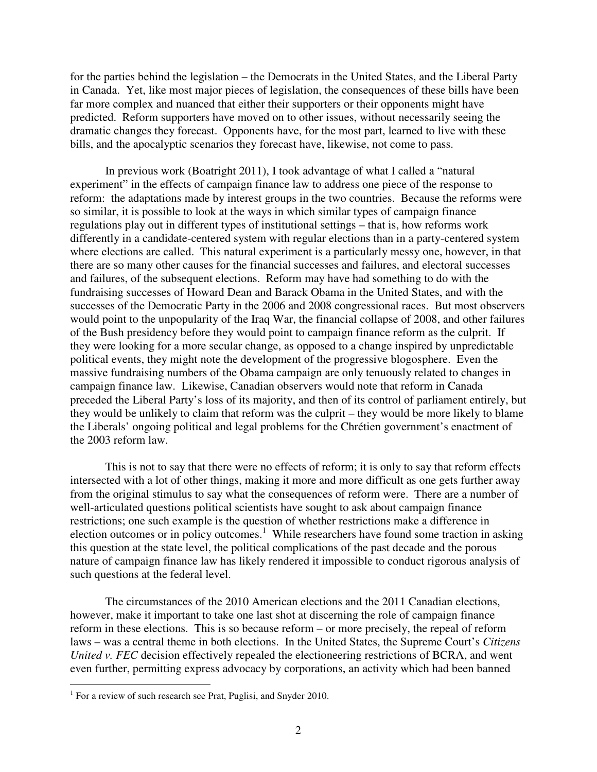for the parties behind the legislation – the Democrats in the United States, and the Liberal Party in Canada. Yet, like most major pieces of legislation, the consequences of these bills have been far more complex and nuanced that either their supporters or their opponents might have predicted. Reform supporters have moved on to other issues, without necessarily seeing the dramatic changes they forecast. Opponents have, for the most part, learned to live with these bills, and the apocalyptic scenarios they forecast have, likewise, not come to pass.

 In previous work (Boatright 2011), I took advantage of what I called a "natural experiment" in the effects of campaign finance law to address one piece of the response to reform: the adaptations made by interest groups in the two countries. Because the reforms were so similar, it is possible to look at the ways in which similar types of campaign finance regulations play out in different types of institutional settings – that is, how reforms work differently in a candidate-centered system with regular elections than in a party-centered system where elections are called. This natural experiment is a particularly messy one, however, in that there are so many other causes for the financial successes and failures, and electoral successes and failures, of the subsequent elections. Reform may have had something to do with the fundraising successes of Howard Dean and Barack Obama in the United States, and with the successes of the Democratic Party in the 2006 and 2008 congressional races. But most observers would point to the unpopularity of the Iraq War, the financial collapse of 2008, and other failures of the Bush presidency before they would point to campaign finance reform as the culprit. If they were looking for a more secular change, as opposed to a change inspired by unpredictable political events, they might note the development of the progressive blogosphere. Even the massive fundraising numbers of the Obama campaign are only tenuously related to changes in campaign finance law. Likewise, Canadian observers would note that reform in Canada preceded the Liberal Party's loss of its majority, and then of its control of parliament entirely, but they would be unlikely to claim that reform was the culprit – they would be more likely to blame the Liberals' ongoing political and legal problems for the Chrétien government's enactment of the 2003 reform law.

 This is not to say that there were no effects of reform; it is only to say that reform effects intersected with a lot of other things, making it more and more difficult as one gets further away from the original stimulus to say what the consequences of reform were. There are a number of well-articulated questions political scientists have sought to ask about campaign finance restrictions; one such example is the question of whether restrictions make a difference in election outcomes or in policy outcomes.<sup>1</sup> While researchers have found some traction in asking this question at the state level, the political complications of the past decade and the porous nature of campaign finance law has likely rendered it impossible to conduct rigorous analysis of such questions at the federal level.

The circumstances of the 2010 American elections and the 2011 Canadian elections, however, make it important to take one last shot at discerning the role of campaign finance reform in these elections. This is so because reform – or more precisely, the repeal of reform laws – was a central theme in both elections. In the United States, the Supreme Court's *Citizens United v. FEC* decision effectively repealed the electioneering restrictions of BCRA, and went even further, permitting express advocacy by corporations, an activity which had been banned

<sup>&</sup>lt;sup>1</sup> For a review of such research see Prat, Puglisi, and Snyder 2010.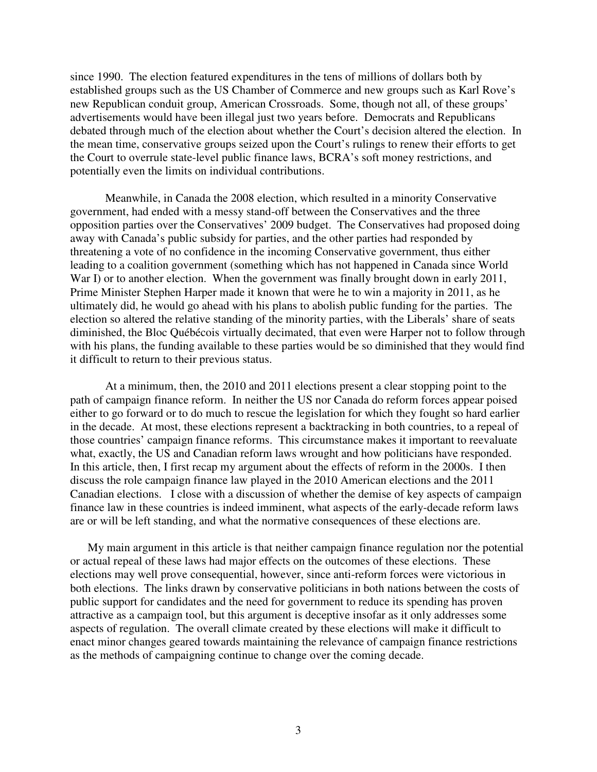since 1990. The election featured expenditures in the tens of millions of dollars both by established groups such as the US Chamber of Commerce and new groups such as Karl Rove's new Republican conduit group, American Crossroads. Some, though not all, of these groups' advertisements would have been illegal just two years before. Democrats and Republicans debated through much of the election about whether the Court's decision altered the election. In the mean time, conservative groups seized upon the Court's rulings to renew their efforts to get the Court to overrule state-level public finance laws, BCRA's soft money restrictions, and potentially even the limits on individual contributions.

 Meanwhile, in Canada the 2008 election, which resulted in a minority Conservative government, had ended with a messy stand-off between the Conservatives and the three opposition parties over the Conservatives' 2009 budget. The Conservatives had proposed doing away with Canada's public subsidy for parties, and the other parties had responded by threatening a vote of no confidence in the incoming Conservative government, thus either leading to a coalition government (something which has not happened in Canada since World War I) or to another election. When the government was finally brought down in early 2011, Prime Minister Stephen Harper made it known that were he to win a majority in 2011, as he ultimately did, he would go ahead with his plans to abolish public funding for the parties. The election so altered the relative standing of the minority parties, with the Liberals' share of seats diminished, the Bloc Québécois virtually decimated, that even were Harper not to follow through with his plans, the funding available to these parties would be so diminished that they would find it difficult to return to their previous status.

 At a minimum, then, the 2010 and 2011 elections present a clear stopping point to the path of campaign finance reform. In neither the US nor Canada do reform forces appear poised either to go forward or to do much to rescue the legislation for which they fought so hard earlier in the decade. At most, these elections represent a backtracking in both countries, to a repeal of those countries' campaign finance reforms. This circumstance makes it important to reevaluate what, exactly, the US and Canadian reform laws wrought and how politicians have responded. In this article, then, I first recap my argument about the effects of reform in the 2000s. I then discuss the role campaign finance law played in the 2010 American elections and the 2011 Canadian elections. I close with a discussion of whether the demise of key aspects of campaign finance law in these countries is indeed imminent, what aspects of the early-decade reform laws are or will be left standing, and what the normative consequences of these elections are.

My main argument in this article is that neither campaign finance regulation nor the potential or actual repeal of these laws had major effects on the outcomes of these elections. These elections may well prove consequential, however, since anti-reform forces were victorious in both elections. The links drawn by conservative politicians in both nations between the costs of public support for candidates and the need for government to reduce its spending has proven attractive as a campaign tool, but this argument is deceptive insofar as it only addresses some aspects of regulation. The overall climate created by these elections will make it difficult to enact minor changes geared towards maintaining the relevance of campaign finance restrictions as the methods of campaigning continue to change over the coming decade.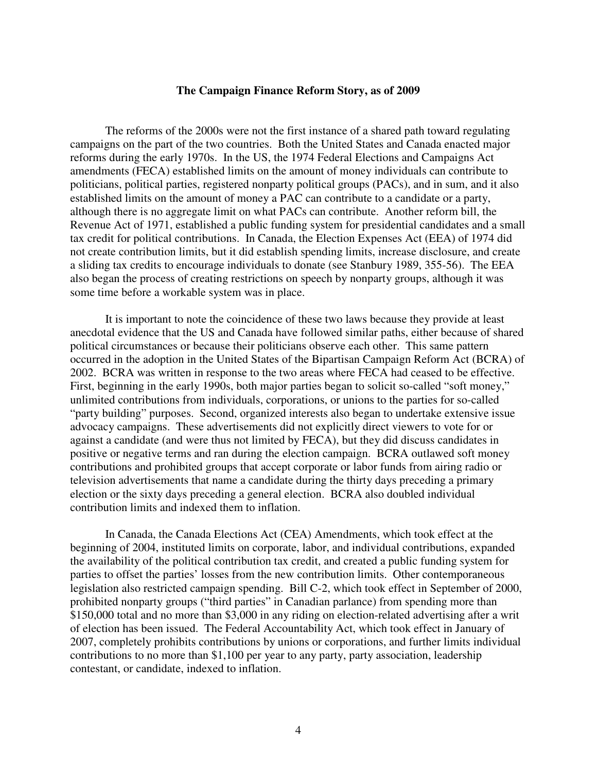#### **The Campaign Finance Reform Story, as of 2009**

The reforms of the 2000s were not the first instance of a shared path toward regulating campaigns on the part of the two countries. Both the United States and Canada enacted major reforms during the early 1970s. In the US, the 1974 Federal Elections and Campaigns Act amendments (FECA) established limits on the amount of money individuals can contribute to politicians, political parties, registered nonparty political groups (PACs), and in sum, and it also established limits on the amount of money a PAC can contribute to a candidate or a party, although there is no aggregate limit on what PACs can contribute. Another reform bill, the Revenue Act of 1971, established a public funding system for presidential candidates and a small tax credit for political contributions. In Canada, the Election Expenses Act (EEA) of 1974 did not create contribution limits, but it did establish spending limits, increase disclosure, and create a sliding tax credits to encourage individuals to donate (see Stanbury 1989, 355-56). The EEA also began the process of creating restrictions on speech by nonparty groups, although it was some time before a workable system was in place.

 It is important to note the coincidence of these two laws because they provide at least anecdotal evidence that the US and Canada have followed similar paths, either because of shared political circumstances or because their politicians observe each other. This same pattern occurred in the adoption in the United States of the Bipartisan Campaign Reform Act (BCRA) of 2002. BCRA was written in response to the two areas where FECA had ceased to be effective. First, beginning in the early 1990s, both major parties began to solicit so-called "soft money," unlimited contributions from individuals, corporations, or unions to the parties for so-called "party building" purposes. Second, organized interests also began to undertake extensive issue advocacy campaigns. These advertisements did not explicitly direct viewers to vote for or against a candidate (and were thus not limited by FECA), but they did discuss candidates in positive or negative terms and ran during the election campaign. BCRA outlawed soft money contributions and prohibited groups that accept corporate or labor funds from airing radio or television advertisements that name a candidate during the thirty days preceding a primary election or the sixty days preceding a general election. BCRA also doubled individual contribution limits and indexed them to inflation.

 In Canada, the Canada Elections Act (CEA) Amendments, which took effect at the beginning of 2004, instituted limits on corporate, labor, and individual contributions, expanded the availability of the political contribution tax credit, and created a public funding system for parties to offset the parties' losses from the new contribution limits. Other contemporaneous legislation also restricted campaign spending. Bill C-2, which took effect in September of 2000, prohibited nonparty groups ("third parties" in Canadian parlance) from spending more than \$150,000 total and no more than \$3,000 in any riding on election-related advertising after a writ of election has been issued. The Federal Accountability Act, which took effect in January of 2007, completely prohibits contributions by unions or corporations, and further limits individual contributions to no more than \$1,100 per year to any party, party association, leadership contestant, or candidate, indexed to inflation.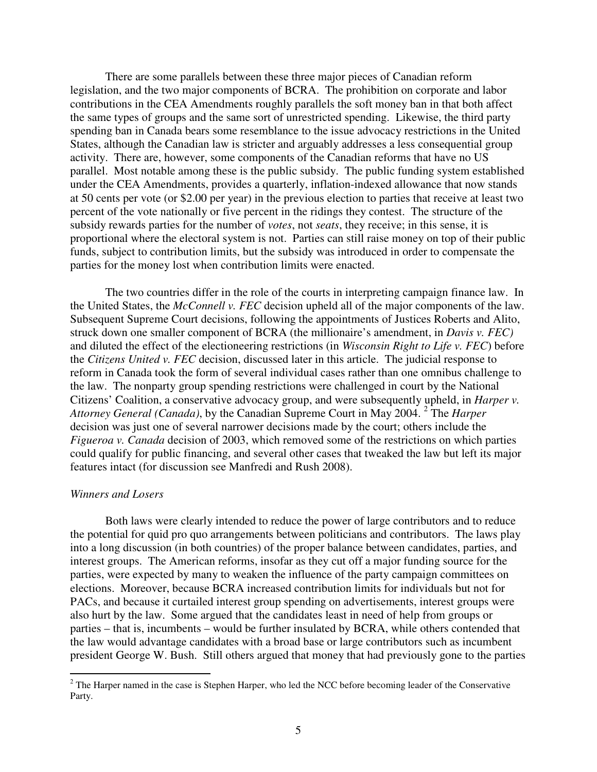There are some parallels between these three major pieces of Canadian reform legislation, and the two major components of BCRA. The prohibition on corporate and labor contributions in the CEA Amendments roughly parallels the soft money ban in that both affect the same types of groups and the same sort of unrestricted spending. Likewise, the third party spending ban in Canada bears some resemblance to the issue advocacy restrictions in the United States, although the Canadian law is stricter and arguably addresses a less consequential group activity. There are, however, some components of the Canadian reforms that have no US parallel. Most notable among these is the public subsidy. The public funding system established under the CEA Amendments, provides a quarterly, inflation-indexed allowance that now stands at 50 cents per vote (or \$2.00 per year) in the previous election to parties that receive at least two percent of the vote nationally or five percent in the ridings they contest. The structure of the subsidy rewards parties for the number of *votes*, not *seats*, they receive; in this sense, it is proportional where the electoral system is not. Parties can still raise money on top of their public funds, subject to contribution limits, but the subsidy was introduced in order to compensate the parties for the money lost when contribution limits were enacted.

The two countries differ in the role of the courts in interpreting campaign finance law. In the United States, the *McConnell v. FEC* decision upheld all of the major components of the law. Subsequent Supreme Court decisions, following the appointments of Justices Roberts and Alito, struck down one smaller component of BCRA (the millionaire's amendment, in *Davis v. FEC)* and diluted the effect of the electioneering restrictions (in *Wisconsin Right to Life v. FEC*) before the *Citizens United v. FEC* decision, discussed later in this article. The judicial response to reform in Canada took the form of several individual cases rather than one omnibus challenge to the law. The nonparty group spending restrictions were challenged in court by the National Citizens' Coalition, a conservative advocacy group, and were subsequently upheld, in *Harper v. Attorney General (Canada)*, by the Canadian Supreme Court in May 2004. <sup>2</sup> The *Harper* decision was just one of several narrower decisions made by the court; others include the *Figueroa v. Canada* decision of 2003, which removed some of the restrictions on which parties could qualify for public financing, and several other cases that tweaked the law but left its major features intact (for discussion see Manfredi and Rush 2008).

#### *Winners and Losers*

 Both laws were clearly intended to reduce the power of large contributors and to reduce the potential for quid pro quo arrangements between politicians and contributors. The laws play into a long discussion (in both countries) of the proper balance between candidates, parties, and interest groups. The American reforms, insofar as they cut off a major funding source for the parties, were expected by many to weaken the influence of the party campaign committees on elections. Moreover, because BCRA increased contribution limits for individuals but not for PACs, and because it curtailed interest group spending on advertisements, interest groups were also hurt by the law. Some argued that the candidates least in need of help from groups or parties – that is, incumbents – would be further insulated by BCRA, while others contended that the law would advantage candidates with a broad base or large contributors such as incumbent president George W. Bush. Still others argued that money that had previously gone to the parties

<sup>&</sup>lt;sup>2</sup> The Harper named in the case is Stephen Harper, who led the NCC before becoming leader of the Conservative Party.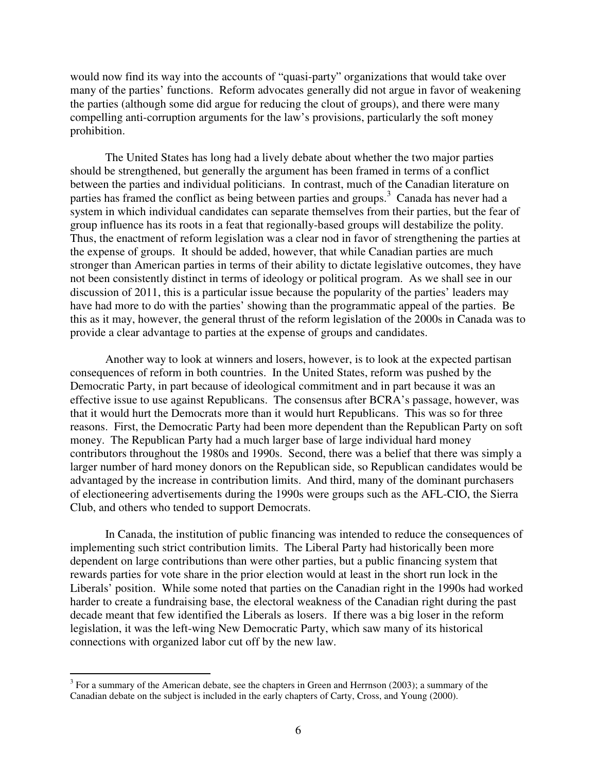would now find its way into the accounts of "quasi-party" organizations that would take over many of the parties' functions. Reform advocates generally did not argue in favor of weakening the parties (although some did argue for reducing the clout of groups), and there were many compelling anti-corruption arguments for the law's provisions, particularly the soft money prohibition.

The United States has long had a lively debate about whether the two major parties should be strengthened, but generally the argument has been framed in terms of a conflict between the parties and individual politicians. In contrast, much of the Canadian literature on parties has framed the conflict as being between parties and groups.<sup>3</sup> Canada has never had a system in which individual candidates can separate themselves from their parties, but the fear of group influence has its roots in a feat that regionally-based groups will destabilize the polity. Thus, the enactment of reform legislation was a clear nod in favor of strengthening the parties at the expense of groups. It should be added, however, that while Canadian parties are much stronger than American parties in terms of their ability to dictate legislative outcomes, they have not been consistently distinct in terms of ideology or political program. As we shall see in our discussion of 2011, this is a particular issue because the popularity of the parties' leaders may have had more to do with the parties' showing than the programmatic appeal of the parties. Be this as it may, however, the general thrust of the reform legislation of the 2000s in Canada was to provide a clear advantage to parties at the expense of groups and candidates.

 Another way to look at winners and losers, however, is to look at the expected partisan consequences of reform in both countries. In the United States, reform was pushed by the Democratic Party, in part because of ideological commitment and in part because it was an effective issue to use against Republicans. The consensus after BCRA's passage, however, was that it would hurt the Democrats more than it would hurt Republicans. This was so for three reasons. First, the Democratic Party had been more dependent than the Republican Party on soft money. The Republican Party had a much larger base of large individual hard money contributors throughout the 1980s and 1990s. Second, there was a belief that there was simply a larger number of hard money donors on the Republican side, so Republican candidates would be advantaged by the increase in contribution limits. And third, many of the dominant purchasers of electioneering advertisements during the 1990s were groups such as the AFL-CIO, the Sierra Club, and others who tended to support Democrats.

 In Canada, the institution of public financing was intended to reduce the consequences of implementing such strict contribution limits. The Liberal Party had historically been more dependent on large contributions than were other parties, but a public financing system that rewards parties for vote share in the prior election would at least in the short run lock in the Liberals' position. While some noted that parties on the Canadian right in the 1990s had worked harder to create a fundraising base, the electoral weakness of the Canadian right during the past decade meant that few identified the Liberals as losers. If there was a big loser in the reform legislation, it was the left-wing New Democratic Party, which saw many of its historical connections with organized labor cut off by the new law.

<sup>&</sup>lt;sup>3</sup> For a summary of the American debate, see the chapters in Green and Herrnson (2003); a summary of the Canadian debate on the subject is included in the early chapters of Carty, Cross, and Young (2000).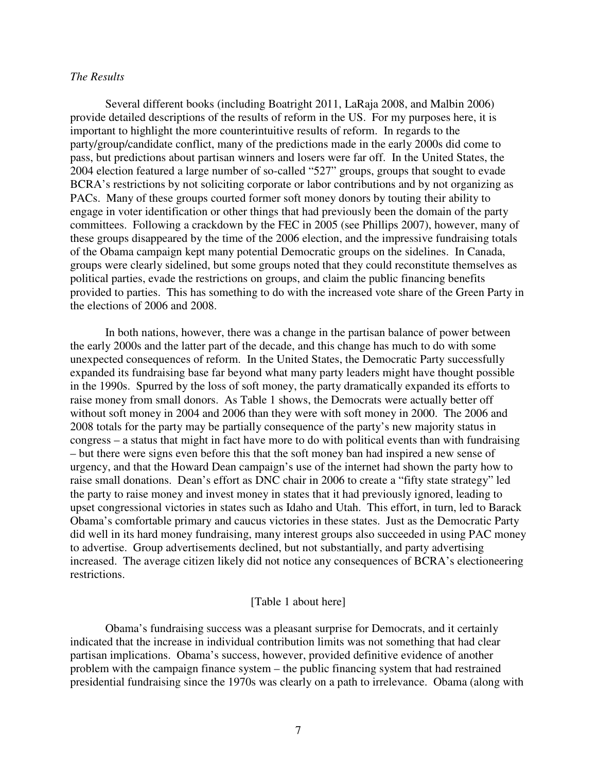#### *The Results*

 Several different books (including Boatright 2011, LaRaja 2008, and Malbin 2006) provide detailed descriptions of the results of reform in the US. For my purposes here, it is important to highlight the more counterintuitive results of reform. In regards to the party/group/candidate conflict, many of the predictions made in the early 2000s did come to pass, but predictions about partisan winners and losers were far off. In the United States, the 2004 election featured a large number of so-called "527" groups, groups that sought to evade BCRA's restrictions by not soliciting corporate or labor contributions and by not organizing as PACs. Many of these groups courted former soft money donors by touting their ability to engage in voter identification or other things that had previously been the domain of the party committees. Following a crackdown by the FEC in 2005 (see Phillips 2007), however, many of these groups disappeared by the time of the 2006 election, and the impressive fundraising totals of the Obama campaign kept many potential Democratic groups on the sidelines. In Canada, groups were clearly sidelined, but some groups noted that they could reconstitute themselves as political parties, evade the restrictions on groups, and claim the public financing benefits provided to parties. This has something to do with the increased vote share of the Green Party in the elections of 2006 and 2008.

 In both nations, however, there was a change in the partisan balance of power between the early 2000s and the latter part of the decade, and this change has much to do with some unexpected consequences of reform. In the United States, the Democratic Party successfully expanded its fundraising base far beyond what many party leaders might have thought possible in the 1990s. Spurred by the loss of soft money, the party dramatically expanded its efforts to raise money from small donors. As Table 1 shows, the Democrats were actually better off without soft money in 2004 and 2006 than they were with soft money in 2000. The 2006 and 2008 totals for the party may be partially consequence of the party's new majority status in congress – a status that might in fact have more to do with political events than with fundraising – but there were signs even before this that the soft money ban had inspired a new sense of urgency, and that the Howard Dean campaign's use of the internet had shown the party how to raise small donations. Dean's effort as DNC chair in 2006 to create a "fifty state strategy" led the party to raise money and invest money in states that it had previously ignored, leading to upset congressional victories in states such as Idaho and Utah. This effort, in turn, led to Barack Obama's comfortable primary and caucus victories in these states. Just as the Democratic Party did well in its hard money fundraising, many interest groups also succeeded in using PAC money to advertise. Group advertisements declined, but not substantially, and party advertising increased. The average citizen likely did not notice any consequences of BCRA's electioneering restrictions.

#### [Table 1 about here]

 Obama's fundraising success was a pleasant surprise for Democrats, and it certainly indicated that the increase in individual contribution limits was not something that had clear partisan implications. Obama's success, however, provided definitive evidence of another problem with the campaign finance system – the public financing system that had restrained presidential fundraising since the 1970s was clearly on a path to irrelevance. Obama (along with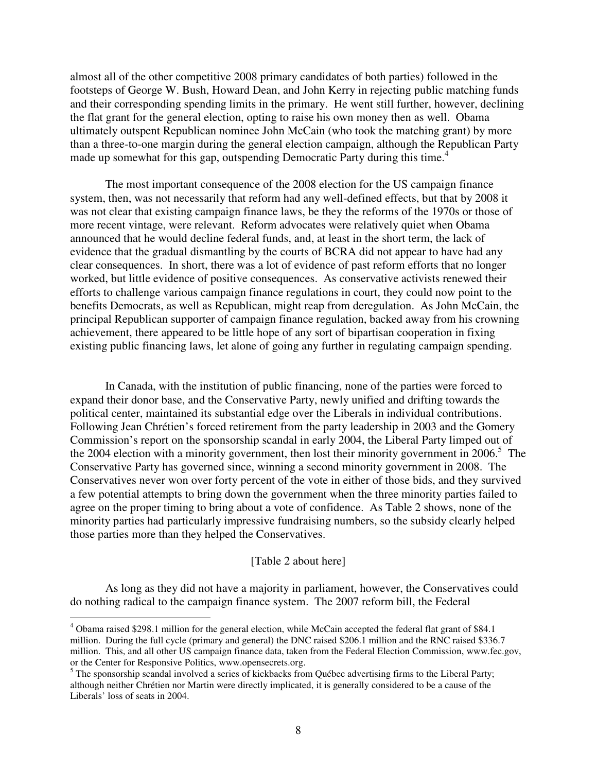almost all of the other competitive 2008 primary candidates of both parties) followed in the footsteps of George W. Bush, Howard Dean, and John Kerry in rejecting public matching funds and their corresponding spending limits in the primary. He went still further, however, declining the flat grant for the general election, opting to raise his own money then as well. Obama ultimately outspent Republican nominee John McCain (who took the matching grant) by more than a three-to-one margin during the general election campaign, although the Republican Party made up somewhat for this gap, outspending Democratic Party during this time.<sup>4</sup>

 The most important consequence of the 2008 election for the US campaign finance system, then, was not necessarily that reform had any well-defined effects, but that by 2008 it was not clear that existing campaign finance laws, be they the reforms of the 1970s or those of more recent vintage, were relevant. Reform advocates were relatively quiet when Obama announced that he would decline federal funds, and, at least in the short term, the lack of evidence that the gradual dismantling by the courts of BCRA did not appear to have had any clear consequences. In short, there was a lot of evidence of past reform efforts that no longer worked, but little evidence of positive consequences. As conservative activists renewed their efforts to challenge various campaign finance regulations in court, they could now point to the benefits Democrats, as well as Republican, might reap from deregulation. As John McCain, the principal Republican supporter of campaign finance regulation, backed away from his crowning achievement, there appeared to be little hope of any sort of bipartisan cooperation in fixing existing public financing laws, let alone of going any further in regulating campaign spending.

 In Canada, with the institution of public financing, none of the parties were forced to expand their donor base, and the Conservative Party, newly unified and drifting towards the political center, maintained its substantial edge over the Liberals in individual contributions. Following Jean Chrétien's forced retirement from the party leadership in 2003 and the Gomery Commission's report on the sponsorship scandal in early 2004, the Liberal Party limped out of the 2004 election with a minority government, then lost their minority government in  $2006$ <sup>5</sup>. The Conservative Party has governed since, winning a second minority government in 2008. The Conservatives never won over forty percent of the vote in either of those bids, and they survived a few potential attempts to bring down the government when the three minority parties failed to agree on the proper timing to bring about a vote of confidence. As Table 2 shows, none of the minority parties had particularly impressive fundraising numbers, so the subsidy clearly helped those parties more than they helped the Conservatives.

#### [Table 2 about here]

 As long as they did not have a majority in parliament, however, the Conservatives could do nothing radical to the campaign finance system. The 2007 reform bill, the Federal

<sup>&</sup>lt;sup>4</sup> Obama raised \$298.1 million for the general election, while McCain accepted the federal flat grant of \$84.1 million. During the full cycle (primary and general) the DNC raised \$206.1 million and the RNC raised \$336.7 million. This, and all other US campaign finance data, taken from the Federal Election Commission, www.fec.gov, or the Center for Responsive Politics, www.opensecrets.org.

<sup>&</sup>lt;sup>5</sup> The sponsorship scandal involved a series of kickbacks from Québec advertising firms to the Liberal Party; although neither Chrétien nor Martin were directly implicated, it is generally considered to be a cause of the Liberals' loss of seats in 2004.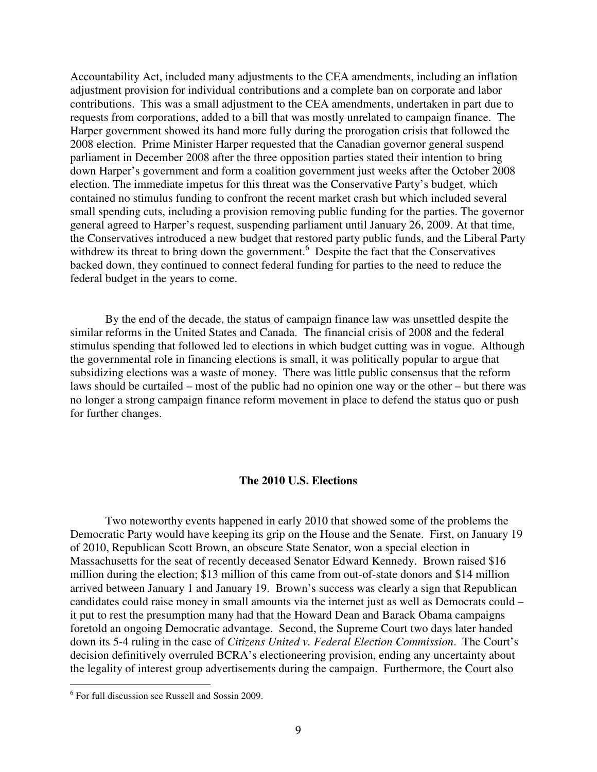Accountability Act, included many adjustments to the CEA amendments, including an inflation adjustment provision for individual contributions and a complete ban on corporate and labor contributions. This was a small adjustment to the CEA amendments, undertaken in part due to requests from corporations, added to a bill that was mostly unrelated to campaign finance. The Harper government showed its hand more fully during the prorogation crisis that followed the 2008 election. Prime Minister Harper requested that the Canadian governor general suspend parliament in December 2008 after the three opposition parties stated their intention to bring down Harper's government and form a coalition government just weeks after the October 2008 election. The immediate impetus for this threat was the Conservative Party's budget, which contained no stimulus funding to confront the recent market crash but which included several small spending cuts, including a provision removing public funding for the parties. The governor general agreed to Harper's request, suspending parliament until January 26, 2009. At that time, the Conservatives introduced a new budget that restored party public funds, and the Liberal Party withdrew its threat to bring down the government.<sup>6</sup> Despite the fact that the Conservatives backed down, they continued to connect federal funding for parties to the need to reduce the federal budget in the years to come.

 By the end of the decade, the status of campaign finance law was unsettled despite the similar reforms in the United States and Canada. The financial crisis of 2008 and the federal stimulus spending that followed led to elections in which budget cutting was in vogue. Although the governmental role in financing elections is small, it was politically popular to argue that subsidizing elections was a waste of money. There was little public consensus that the reform laws should be curtailed – most of the public had no opinion one way or the other – but there was no longer a strong campaign finance reform movement in place to defend the status quo or push for further changes.

#### **The 2010 U.S. Elections**

Two noteworthy events happened in early 2010 that showed some of the problems the Democratic Party would have keeping its grip on the House and the Senate. First, on January 19 of 2010, Republican Scott Brown, an obscure State Senator, won a special election in Massachusetts for the seat of recently deceased Senator Edward Kennedy. Brown raised \$16 million during the election; \$13 million of this came from out-of-state donors and \$14 million arrived between January 1 and January 19. Brown's success was clearly a sign that Republican candidates could raise money in small amounts via the internet just as well as Democrats could – it put to rest the presumption many had that the Howard Dean and Barack Obama campaigns foretold an ongoing Democratic advantage. Second, the Supreme Court two days later handed down its 5-4 ruling in the case of *Citizens United v. Federal Election Commission*. The Court's decision definitively overruled BCRA's electioneering provision, ending any uncertainty about the legality of interest group advertisements during the campaign. Furthermore, the Court also

<sup>6</sup> For full discussion see Russell and Sossin 2009.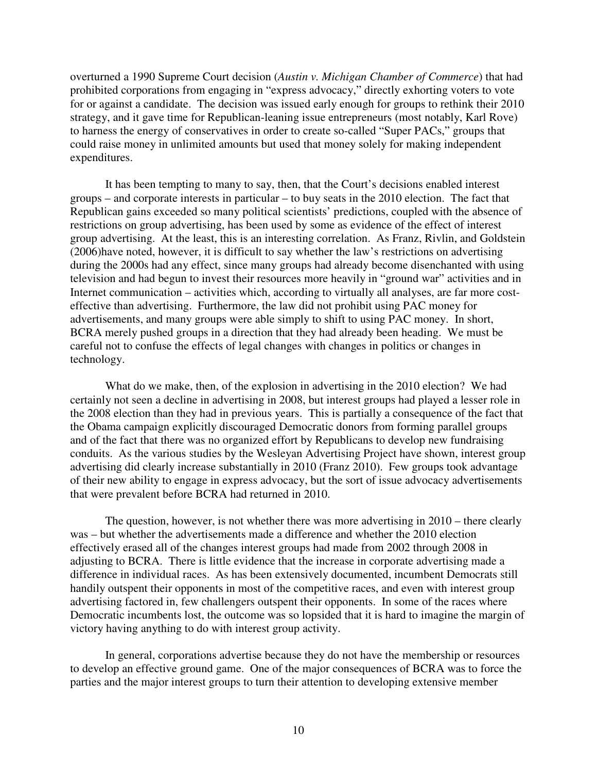overturned a 1990 Supreme Court decision (*Austin v. Michigan Chamber of Commerce*) that had prohibited corporations from engaging in "express advocacy," directly exhorting voters to vote for or against a candidate. The decision was issued early enough for groups to rethink their 2010 strategy, and it gave time for Republican-leaning issue entrepreneurs (most notably, Karl Rove) to harness the energy of conservatives in order to create so-called "Super PACs," groups that could raise money in unlimited amounts but used that money solely for making independent expenditures.

It has been tempting to many to say, then, that the Court's decisions enabled interest groups – and corporate interests in particular – to buy seats in the 2010 election. The fact that Republican gains exceeded so many political scientists' predictions, coupled with the absence of restrictions on group advertising, has been used by some as evidence of the effect of interest group advertising. At the least, this is an interesting correlation. As Franz, Rivlin, and Goldstein (2006)have noted, however, it is difficult to say whether the law's restrictions on advertising during the 2000s had any effect, since many groups had already become disenchanted with using television and had begun to invest their resources more heavily in "ground war" activities and in Internet communication – activities which, according to virtually all analyses, are far more costeffective than advertising. Furthermore, the law did not prohibit using PAC money for advertisements, and many groups were able simply to shift to using PAC money. In short, BCRA merely pushed groups in a direction that they had already been heading. We must be careful not to confuse the effects of legal changes with changes in politics or changes in technology.

What do we make, then, of the explosion in advertising in the 2010 election? We had certainly not seen a decline in advertising in 2008, but interest groups had played a lesser role in the 2008 election than they had in previous years. This is partially a consequence of the fact that the Obama campaign explicitly discouraged Democratic donors from forming parallel groups and of the fact that there was no organized effort by Republicans to develop new fundraising conduits. As the various studies by the Wesleyan Advertising Project have shown, interest group advertising did clearly increase substantially in 2010 (Franz 2010). Few groups took advantage of their new ability to engage in express advocacy, but the sort of issue advocacy advertisements that were prevalent before BCRA had returned in 2010.

The question, however, is not whether there was more advertising in 2010 – there clearly was – but whether the advertisements made a difference and whether the 2010 election effectively erased all of the changes interest groups had made from 2002 through 2008 in adjusting to BCRA. There is little evidence that the increase in corporate advertising made a difference in individual races. As has been extensively documented, incumbent Democrats still handily outspent their opponents in most of the competitive races, and even with interest group advertising factored in, few challengers outspent their opponents. In some of the races where Democratic incumbents lost, the outcome was so lopsided that it is hard to imagine the margin of victory having anything to do with interest group activity.

In general, corporations advertise because they do not have the membership or resources to develop an effective ground game. One of the major consequences of BCRA was to force the parties and the major interest groups to turn their attention to developing extensive member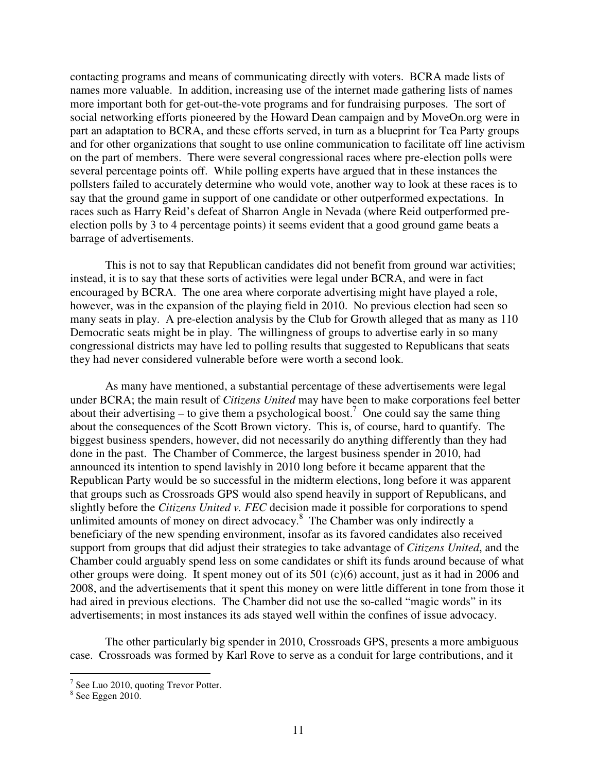contacting programs and means of communicating directly with voters. BCRA made lists of names more valuable. In addition, increasing use of the internet made gathering lists of names more important both for get-out-the-vote programs and for fundraising purposes. The sort of social networking efforts pioneered by the Howard Dean campaign and by MoveOn.org were in part an adaptation to BCRA, and these efforts served, in turn as a blueprint for Tea Party groups and for other organizations that sought to use online communication to facilitate off line activism on the part of members. There were several congressional races where pre-election polls were several percentage points off. While polling experts have argued that in these instances the pollsters failed to accurately determine who would vote, another way to look at these races is to say that the ground game in support of one candidate or other outperformed expectations. In races such as Harry Reid's defeat of Sharron Angle in Nevada (where Reid outperformed preelection polls by 3 to 4 percentage points) it seems evident that a good ground game beats a barrage of advertisements.

This is not to say that Republican candidates did not benefit from ground war activities; instead, it is to say that these sorts of activities were legal under BCRA, and were in fact encouraged by BCRA. The one area where corporate advertising might have played a role, however, was in the expansion of the playing field in 2010. No previous election had seen so many seats in play. A pre-election analysis by the Club for Growth alleged that as many as 110 Democratic seats might be in play. The willingness of groups to advertise early in so many congressional districts may have led to polling results that suggested to Republicans that seats they had never considered vulnerable before were worth a second look.

As many have mentioned, a substantial percentage of these advertisements were legal under BCRA; the main result of *Citizens United* may have been to make corporations feel better about their advertising – to give them a psychological boost.<sup>7</sup> One could say the same thing about the consequences of the Scott Brown victory. This is, of course, hard to quantify. The biggest business spenders, however, did not necessarily do anything differently than they had done in the past. The Chamber of Commerce, the largest business spender in 2010, had announced its intention to spend lavishly in 2010 long before it became apparent that the Republican Party would be so successful in the midterm elections, long before it was apparent that groups such as Crossroads GPS would also spend heavily in support of Republicans, and slightly before the *Citizens United v. FEC* decision made it possible for corporations to spend unlimited amounts of money on direct advocacy.<sup>8</sup> The Chamber was only indirectly a beneficiary of the new spending environment, insofar as its favored candidates also received support from groups that did adjust their strategies to take advantage of *Citizens United*, and the Chamber could arguably spend less on some candidates or shift its funds around because of what other groups were doing. It spent money out of its 501 (c)(6) account, just as it had in 2006 and 2008, and the advertisements that it spent this money on were little different in tone from those it had aired in previous elections. The Chamber did not use the so-called "magic words" in its advertisements; in most instances its ads stayed well within the confines of issue advocacy.

The other particularly big spender in 2010, Crossroads GPS, presents a more ambiguous case. Crossroads was formed by Karl Rove to serve as a conduit for large contributions, and it

 7 See Luo 2010, quoting Trevor Potter.

 $8$  See Eggen 2010.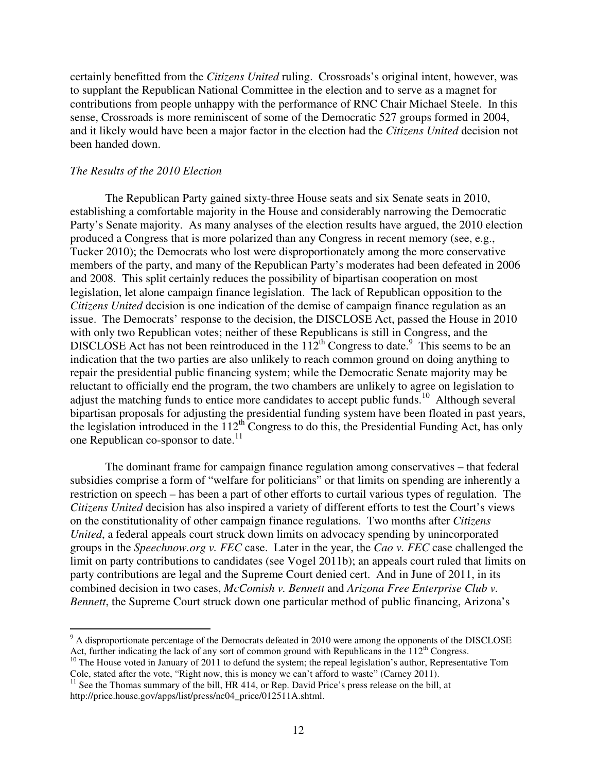certainly benefitted from the *Citizens United* ruling. Crossroads's original intent, however, was to supplant the Republican National Committee in the election and to serve as a magnet for contributions from people unhappy with the performance of RNC Chair Michael Steele. In this sense, Crossroads is more reminiscent of some of the Democratic 527 groups formed in 2004, and it likely would have been a major factor in the election had the *Citizens United* decision not been handed down.

## *The Results of the 2010 Election*

 The Republican Party gained sixty-three House seats and six Senate seats in 2010, establishing a comfortable majority in the House and considerably narrowing the Democratic Party's Senate majority. As many analyses of the election results have argued, the 2010 election produced a Congress that is more polarized than any Congress in recent memory (see, e.g., Tucker 2010); the Democrats who lost were disproportionately among the more conservative members of the party, and many of the Republican Party's moderates had been defeated in 2006 and 2008. This split certainly reduces the possibility of bipartisan cooperation on most legislation, let alone campaign finance legislation. The lack of Republican opposition to the *Citizens United* decision is one indication of the demise of campaign finance regulation as an issue. The Democrats' response to the decision, the DISCLOSE Act, passed the House in 2010 with only two Republican votes; neither of these Republicans is still in Congress, and the DISCLOSE Act has not been reintroduced in the  $112^{th}$  Congress to date.<sup>9</sup> This seems to be an indication that the two parties are also unlikely to reach common ground on doing anything to repair the presidential public financing system; while the Democratic Senate majority may be reluctant to officially end the program, the two chambers are unlikely to agree on legislation to adjust the matching funds to entice more candidates to accept public funds.<sup>10</sup> Although several bipartisan proposals for adjusting the presidential funding system have been floated in past years, the legislation introduced in the  $112<sup>th</sup>$  Congress to do this, the Presidential Funding Act, has only one Republican co-sponsor to date.<sup>11</sup>

 The dominant frame for campaign finance regulation among conservatives – that federal subsidies comprise a form of "welfare for politicians" or that limits on spending are inherently a restriction on speech – has been a part of other efforts to curtail various types of regulation. The *Citizens United* decision has also inspired a variety of different efforts to test the Court's views on the constitutionality of other campaign finance regulations. Two months after *Citizens United*, a federal appeals court struck down limits on advocacy spending by unincorporated groups in the *Speechnow.org v. FEC* case. Later in the year, the *Cao v. FEC* case challenged the limit on party contributions to candidates (see Vogel 2011b); an appeals court ruled that limits on party contributions are legal and the Supreme Court denied cert. And in June of 2011, in its combined decision in two cases, *McComish v. Bennett* and *Arizona Free Enterprise Club v. Bennett*, the Supreme Court struck down one particular method of public financing, Arizona's

<sup>&</sup>lt;sup>9</sup> A disproportionate percentage of the Democrats defeated in 2010 were among the opponents of the DISCLOSE Act, further indicating the lack of any sort of common ground with Republicans in the  $112<sup>th</sup>$  Congress.

<sup>&</sup>lt;sup>10</sup> The House voted in January of 2011 to defund the system; the repeal legislation's author, Representative Tom Cole, stated after the vote, "Right now, this is money we can't afford to waste" (Carney 2011).

 $11$  See the Thomas summary of the bill, HR 414, or Rep. David Price's press release on the bill, at http://price.house.gov/apps/list/press/nc04\_price/012511A.shtml.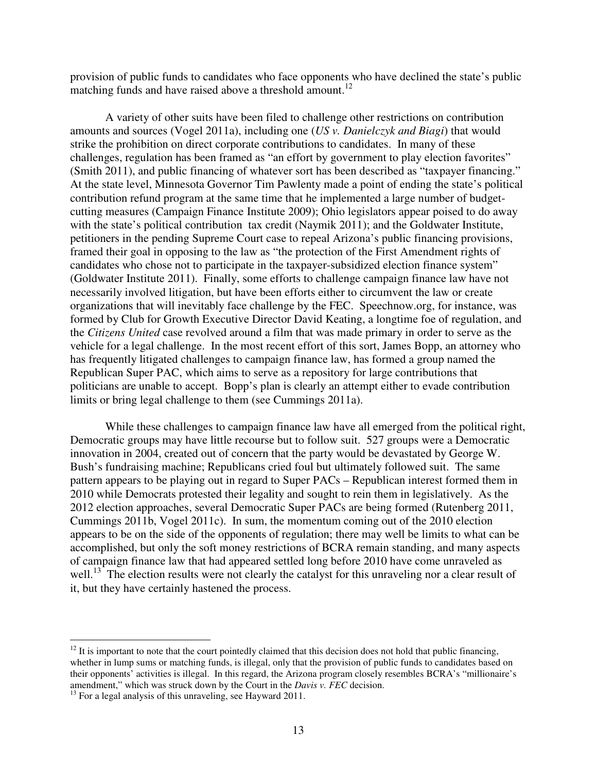provision of public funds to candidates who face opponents who have declined the state's public matching funds and have raised above a threshold amount.<sup>12</sup>

A variety of other suits have been filed to challenge other restrictions on contribution amounts and sources (Vogel 2011a), including one (*US v. Danielczyk and Biagi*) that would strike the prohibition on direct corporate contributions to candidates. In many of these challenges, regulation has been framed as "an effort by government to play election favorites" (Smith 2011), and public financing of whatever sort has been described as "taxpayer financing." At the state level, Minnesota Governor Tim Pawlenty made a point of ending the state's political contribution refund program at the same time that he implemented a large number of budgetcutting measures (Campaign Finance Institute 2009); Ohio legislators appear poised to do away with the state's political contribution tax credit (Naymik 2011); and the Goldwater Institute, petitioners in the pending Supreme Court case to repeal Arizona's public financing provisions, framed their goal in opposing to the law as "the protection of the First Amendment rights of candidates who chose not to participate in the taxpayer-subsidized election finance system" (Goldwater Institute 2011). Finally, some efforts to challenge campaign finance law have not necessarily involved litigation, but have been efforts either to circumvent the law or create organizations that will inevitably face challenge by the FEC. Speechnow.org, for instance, was formed by Club for Growth Executive Director David Keating, a longtime foe of regulation, and the *Citizens United* case revolved around a film that was made primary in order to serve as the vehicle for a legal challenge. In the most recent effort of this sort, James Bopp, an attorney who has frequently litigated challenges to campaign finance law, has formed a group named the Republican Super PAC, which aims to serve as a repository for large contributions that politicians are unable to accept. Bopp's plan is clearly an attempt either to evade contribution limits or bring legal challenge to them (see Cummings 2011a).

 While these challenges to campaign finance law have all emerged from the political right, Democratic groups may have little recourse but to follow suit. 527 groups were a Democratic innovation in 2004, created out of concern that the party would be devastated by George W. Bush's fundraising machine; Republicans cried foul but ultimately followed suit. The same pattern appears to be playing out in regard to Super PACs – Republican interest formed them in 2010 while Democrats protested their legality and sought to rein them in legislatively. As the 2012 election approaches, several Democratic Super PACs are being formed (Rutenberg 2011, Cummings 2011b, Vogel 2011c). In sum, the momentum coming out of the 2010 election appears to be on the side of the opponents of regulation; there may well be limits to what can be accomplished, but only the soft money restrictions of BCRA remain standing, and many aspects of campaign finance law that had appeared settled long before 2010 have come unraveled as well.<sup>13</sup> The election results were not clearly the catalyst for this unraveling nor a clear result of it, but they have certainly hastened the process.

 $12$  It is important to note that the court pointedly claimed that this decision does not hold that public financing, whether in lump sums or matching funds, is illegal, only that the provision of public funds to candidates based on their opponents' activities is illegal. In this regard, the Arizona program closely resembles BCRA's "millionaire's amendment," which was struck down by the Court in the *Davis v. FEC* decision.

 $13$  For a legal analysis of this unraveling, see Hayward 2011.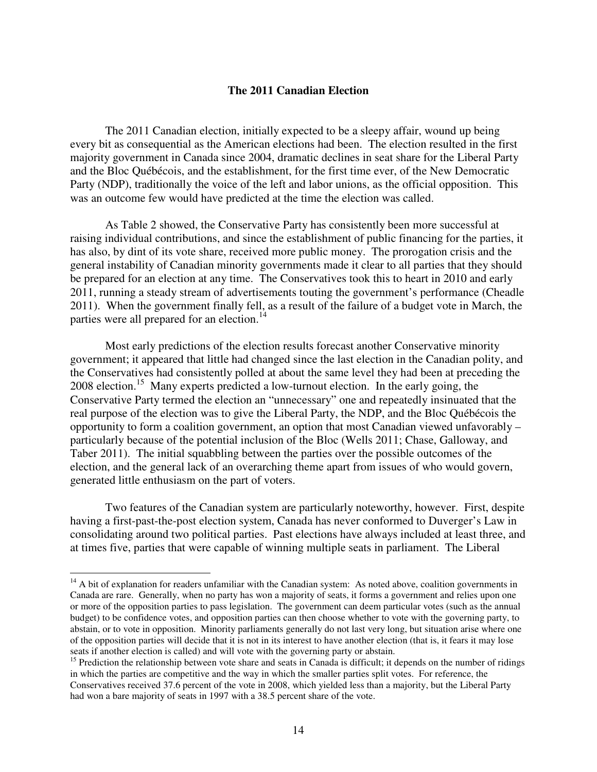## **The 2011 Canadian Election**

 The 2011 Canadian election, initially expected to be a sleepy affair, wound up being every bit as consequential as the American elections had been. The election resulted in the first majority government in Canada since 2004, dramatic declines in seat share for the Liberal Party and the Bloc Québécois, and the establishment, for the first time ever, of the New Democratic Party (NDP), traditionally the voice of the left and labor unions, as the official opposition. This was an outcome few would have predicted at the time the election was called.

 As Table 2 showed, the Conservative Party has consistently been more successful at raising individual contributions, and since the establishment of public financing for the parties, it has also, by dint of its vote share, received more public money. The prorogation crisis and the general instability of Canadian minority governments made it clear to all parties that they should be prepared for an election at any time. The Conservatives took this to heart in 2010 and early 2011, running a steady stream of advertisements touting the government's performance (Cheadle 2011). When the government finally fell, as a result of the failure of a budget vote in March, the parties were all prepared for an election.<sup>14</sup>

 Most early predictions of the election results forecast another Conservative minority government; it appeared that little had changed since the last election in the Canadian polity, and the Conservatives had consistently polled at about the same level they had been at preceding the 2008 election.<sup>15</sup> Many experts predicted a low-turnout election. In the early going, the Conservative Party termed the election an "unnecessary" one and repeatedly insinuated that the real purpose of the election was to give the Liberal Party, the NDP, and the Bloc Québécois the opportunity to form a coalition government, an option that most Canadian viewed unfavorably – particularly because of the potential inclusion of the Bloc (Wells 2011; Chase, Galloway, and Taber 2011). The initial squabbling between the parties over the possible outcomes of the election, and the general lack of an overarching theme apart from issues of who would govern, generated little enthusiasm on the part of voters.

 Two features of the Canadian system are particularly noteworthy, however. First, despite having a first-past-the-post election system, Canada has never conformed to Duverger's Law in consolidating around two political parties. Past elections have always included at least three, and at times five, parties that were capable of winning multiple seats in parliament. The Liberal

 $14$  A bit of explanation for readers unfamiliar with the Canadian system: As noted above, coalition governments in Canada are rare. Generally, when no party has won a majority of seats, it forms a government and relies upon one or more of the opposition parties to pass legislation. The government can deem particular votes (such as the annual budget) to be confidence votes, and opposition parties can then choose whether to vote with the governing party, to abstain, or to vote in opposition. Minority parliaments generally do not last very long, but situation arise where one of the opposition parties will decide that it is not in its interest to have another election (that is, it fears it may lose seats if another election is called) and will vote with the governing party or abstain.

<sup>&</sup>lt;sup>15</sup> Prediction the relationship between vote share and seats in Canada is difficult; it depends on the number of ridings in which the parties are competitive and the way in which the smaller parties split votes. For reference, the Conservatives received 37.6 percent of the vote in 2008, which yielded less than a majority, but the Liberal Party had won a bare majority of seats in 1997 with a 38.5 percent share of the vote.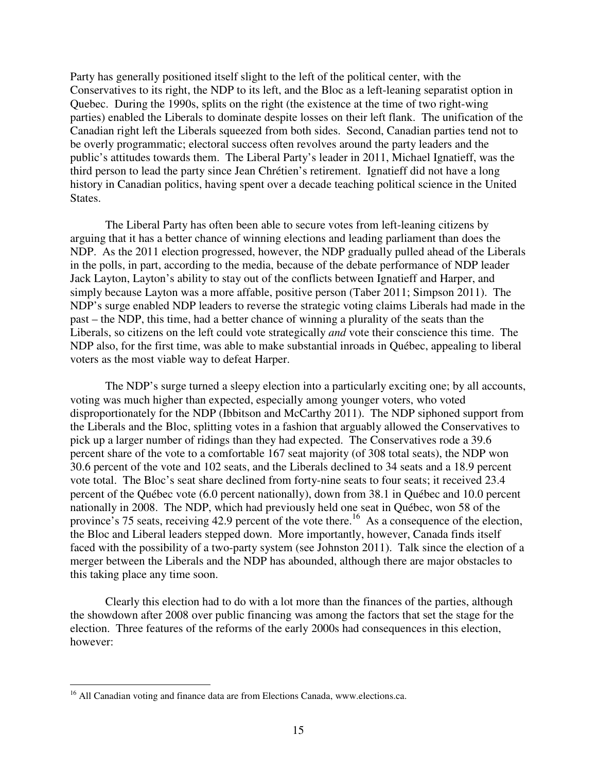Party has generally positioned itself slight to the left of the political center, with the Conservatives to its right, the NDP to its left, and the Bloc as a left-leaning separatist option in Quebec. During the 1990s, splits on the right (the existence at the time of two right-wing parties) enabled the Liberals to dominate despite losses on their left flank. The unification of the Canadian right left the Liberals squeezed from both sides. Second, Canadian parties tend not to be overly programmatic; electoral success often revolves around the party leaders and the public's attitudes towards them. The Liberal Party's leader in 2011, Michael Ignatieff, was the third person to lead the party since Jean Chrétien's retirement. Ignatieff did not have a long history in Canadian politics, having spent over a decade teaching political science in the United States.

 The Liberal Party has often been able to secure votes from left-leaning citizens by arguing that it has a better chance of winning elections and leading parliament than does the NDP. As the 2011 election progressed, however, the NDP gradually pulled ahead of the Liberals in the polls, in part, according to the media, because of the debate performance of NDP leader Jack Layton, Layton's ability to stay out of the conflicts between Ignatieff and Harper, and simply because Layton was a more affable, positive person (Taber 2011; Simpson 2011). The NDP's surge enabled NDP leaders to reverse the strategic voting claims Liberals had made in the past – the NDP, this time, had a better chance of winning a plurality of the seats than the Liberals, so citizens on the left could vote strategically *and* vote their conscience this time. The NDP also, for the first time, was able to make substantial inroads in Québec, appealing to liberal voters as the most viable way to defeat Harper.

 The NDP's surge turned a sleepy election into a particularly exciting one; by all accounts, voting was much higher than expected, especially among younger voters, who voted disproportionately for the NDP (Ibbitson and McCarthy 2011). The NDP siphoned support from the Liberals and the Bloc, splitting votes in a fashion that arguably allowed the Conservatives to pick up a larger number of ridings than they had expected. The Conservatives rode a 39.6 percent share of the vote to a comfortable 167 seat majority (of 308 total seats), the NDP won 30.6 percent of the vote and 102 seats, and the Liberals declined to 34 seats and a 18.9 percent vote total. The Bloc's seat share declined from forty-nine seats to four seats; it received 23.4 percent of the Québec vote (6.0 percent nationally), down from 38.1 in Québec and 10.0 percent nationally in 2008. The NDP, which had previously held one seat in Québec, won 58 of the province's 75 seats, receiving 42.9 percent of the vote there.<sup>16</sup> As a consequence of the election, the Bloc and Liberal leaders stepped down. More importantly, however, Canada finds itself faced with the possibility of a two-party system (see Johnston 2011). Talk since the election of a merger between the Liberals and the NDP has abounded, although there are major obstacles to this taking place any time soon.

 Clearly this election had to do with a lot more than the finances of the parties, although the showdown after 2008 over public financing was among the factors that set the stage for the election. Three features of the reforms of the early 2000s had consequences in this election, however:

<sup>&</sup>lt;sup>16</sup> All Canadian voting and finance data are from Elections Canada, www.elections.ca.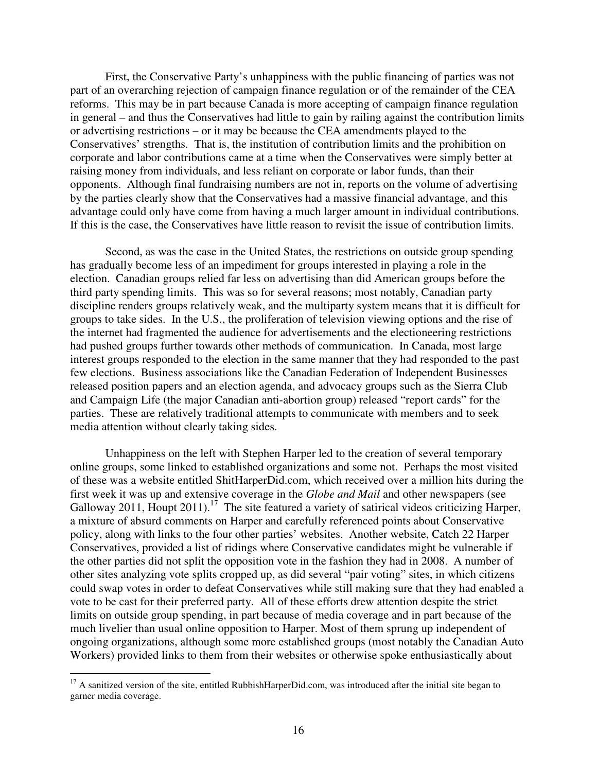First, the Conservative Party's unhappiness with the public financing of parties was not part of an overarching rejection of campaign finance regulation or of the remainder of the CEA reforms. This may be in part because Canada is more accepting of campaign finance regulation in general – and thus the Conservatives had little to gain by railing against the contribution limits or advertising restrictions – or it may be because the CEA amendments played to the Conservatives' strengths. That is, the institution of contribution limits and the prohibition on corporate and labor contributions came at a time when the Conservatives were simply better at raising money from individuals, and less reliant on corporate or labor funds, than their opponents. Although final fundraising numbers are not in, reports on the volume of advertising by the parties clearly show that the Conservatives had a massive financial advantage, and this advantage could only have come from having a much larger amount in individual contributions. If this is the case, the Conservatives have little reason to revisit the issue of contribution limits.

 Second, as was the case in the United States, the restrictions on outside group spending has gradually become less of an impediment for groups interested in playing a role in the election. Canadian groups relied far less on advertising than did American groups before the third party spending limits. This was so for several reasons; most notably, Canadian party discipline renders groups relatively weak, and the multiparty system means that it is difficult for groups to take sides. In the U.S., the proliferation of television viewing options and the rise of the internet had fragmented the audience for advertisements and the electioneering restrictions had pushed groups further towards other methods of communication. In Canada, most large interest groups responded to the election in the same manner that they had responded to the past few elections. Business associations like the Canadian Federation of Independent Businesses released position papers and an election agenda, and advocacy groups such as the Sierra Club and Campaign Life (the major Canadian anti-abortion group) released "report cards" for the parties. These are relatively traditional attempts to communicate with members and to seek media attention without clearly taking sides.

 Unhappiness on the left with Stephen Harper led to the creation of several temporary online groups, some linked to established organizations and some not. Perhaps the most visited of these was a website entitled ShitHarperDid.com, which received over a million hits during the first week it was up and extensive coverage in the *Globe and Mail* and other newspapers (see Galloway 2011, Houpt 2011).<sup>17</sup> The site featured a variety of satirical videos criticizing Harper, a mixture of absurd comments on Harper and carefully referenced points about Conservative policy, along with links to the four other parties' websites. Another website, Catch 22 Harper Conservatives, provided a list of ridings where Conservative candidates might be vulnerable if the other parties did not split the opposition vote in the fashion they had in 2008. A number of other sites analyzing vote splits cropped up, as did several "pair voting" sites, in which citizens could swap votes in order to defeat Conservatives while still making sure that they had enabled a vote to be cast for their preferred party. All of these efforts drew attention despite the strict limits on outside group spending, in part because of media coverage and in part because of the much livelier than usual online opposition to Harper. Most of them sprung up independent of ongoing organizations, although some more established groups (most notably the Canadian Auto Workers) provided links to them from their websites or otherwise spoke enthusiastically about

 $17$  A sanitized version of the site, entitled RubbishHarperDid.com, was introduced after the initial site began to garner media coverage.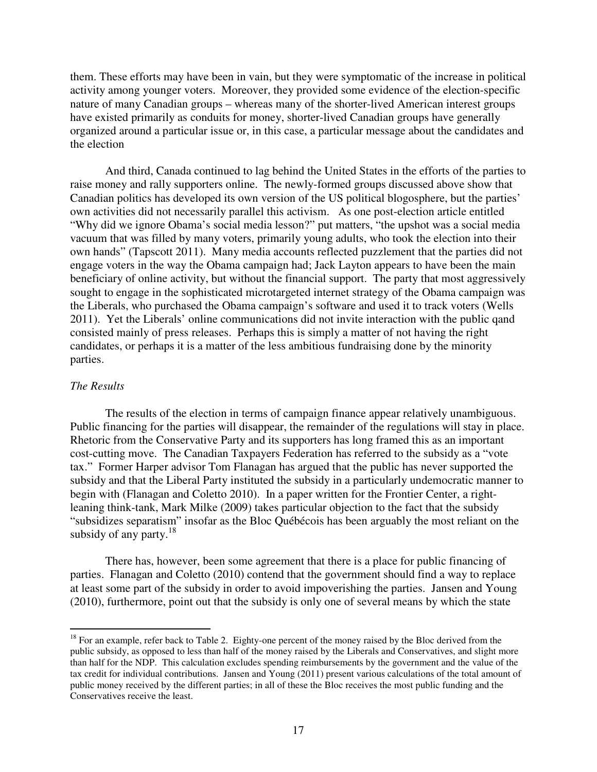them. These efforts may have been in vain, but they were symptomatic of the increase in political activity among younger voters. Moreover, they provided some evidence of the election-specific nature of many Canadian groups – whereas many of the shorter-lived American interest groups have existed primarily as conduits for money, shorter-lived Canadian groups have generally organized around a particular issue or, in this case, a particular message about the candidates and the election

 And third, Canada continued to lag behind the United States in the efforts of the parties to raise money and rally supporters online. The newly-formed groups discussed above show that Canadian politics has developed its own version of the US political blogosphere, but the parties' own activities did not necessarily parallel this activism. As one post-election article entitled "Why did we ignore Obama's social media lesson?" put matters, "the upshot was a social media vacuum that was filled by many voters, primarily young adults, who took the election into their own hands" (Tapscott 2011). Many media accounts reflected puzzlement that the parties did not engage voters in the way the Obama campaign had; Jack Layton appears to have been the main beneficiary of online activity, but without the financial support. The party that most aggressively sought to engage in the sophisticated microtargeted internet strategy of the Obama campaign was the Liberals, who purchased the Obama campaign's software and used it to track voters (Wells 2011). Yet the Liberals' online communications did not invite interaction with the public qand consisted mainly of press releases. Perhaps this is simply a matter of not having the right candidates, or perhaps it is a matter of the less ambitious fundraising done by the minority parties.

## *The Results*

 $\overline{a}$ 

 The results of the election in terms of campaign finance appear relatively unambiguous. Public financing for the parties will disappear, the remainder of the regulations will stay in place. Rhetoric from the Conservative Party and its supporters has long framed this as an important cost-cutting move. The Canadian Taxpayers Federation has referred to the subsidy as a "vote tax." Former Harper advisor Tom Flanagan has argued that the public has never supported the subsidy and that the Liberal Party instituted the subsidy in a particularly undemocratic manner to begin with (Flanagan and Coletto 2010). In a paper written for the Frontier Center, a rightleaning think-tank, Mark Milke (2009) takes particular objection to the fact that the subsidy "subsidizes separatism" insofar as the Bloc Québécois has been arguably the most reliant on the subsidy of any party. $18$ 

 There has, however, been some agreement that there is a place for public financing of parties. Flanagan and Coletto (2010) contend that the government should find a way to replace at least some part of the subsidy in order to avoid impoverishing the parties. Jansen and Young (2010), furthermore, point out that the subsidy is only one of several means by which the state

<sup>&</sup>lt;sup>18</sup> For an example, refer back to Table 2. Eighty-one percent of the money raised by the Bloc derived from the public subsidy, as opposed to less than half of the money raised by the Liberals and Conservatives, and slight more than half for the NDP. This calculation excludes spending reimbursements by the government and the value of the tax credit for individual contributions. Jansen and Young (2011) present various calculations of the total amount of public money received by the different parties; in all of these the Bloc receives the most public funding and the Conservatives receive the least.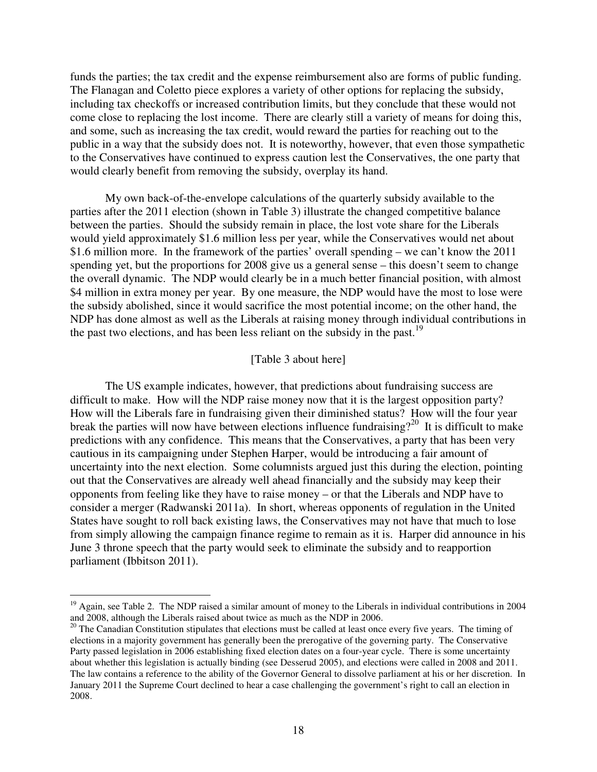funds the parties; the tax credit and the expense reimbursement also are forms of public funding. The Flanagan and Coletto piece explores a variety of other options for replacing the subsidy, including tax checkoffs or increased contribution limits, but they conclude that these would not come close to replacing the lost income. There are clearly still a variety of means for doing this, and some, such as increasing the tax credit, would reward the parties for reaching out to the public in a way that the subsidy does not. It is noteworthy, however, that even those sympathetic to the Conservatives have continued to express caution lest the Conservatives, the one party that would clearly benefit from removing the subsidy, overplay its hand.

 My own back-of-the-envelope calculations of the quarterly subsidy available to the parties after the 2011 election (shown in Table 3) illustrate the changed competitive balance between the parties. Should the subsidy remain in place, the lost vote share for the Liberals would yield approximately \$1.6 million less per year, while the Conservatives would net about \$1.6 million more. In the framework of the parties' overall spending – we can't know the 2011 spending yet, but the proportions for 2008 give us a general sense – this doesn't seem to change the overall dynamic. The NDP would clearly be in a much better financial position, with almost \$4 million in extra money per year. By one measure, the NDP would have the most to lose were the subsidy abolished, since it would sacrifice the most potential income; on the other hand, the NDP has done almost as well as the Liberals at raising money through individual contributions in the past two elections, and has been less reliant on the subsidy in the past.<sup>19</sup>

## [Table 3 about here]

 The US example indicates, however, that predictions about fundraising success are difficult to make. How will the NDP raise money now that it is the largest opposition party? How will the Liberals fare in fundraising given their diminished status? How will the four year break the parties will now have between elections influence fundraising?<sup>20</sup> It is difficult to make predictions with any confidence. This means that the Conservatives, a party that has been very cautious in its campaigning under Stephen Harper, would be introducing a fair amount of uncertainty into the next election. Some columnists argued just this during the election, pointing out that the Conservatives are already well ahead financially and the subsidy may keep their opponents from feeling like they have to raise money – or that the Liberals and NDP have to consider a merger (Radwanski 2011a). In short, whereas opponents of regulation in the United States have sought to roll back existing laws, the Conservatives may not have that much to lose from simply allowing the campaign finance regime to remain as it is. Harper did announce in his June 3 throne speech that the party would seek to eliminate the subsidy and to reapportion parliament (Ibbitson 2011).

<sup>&</sup>lt;sup>19</sup> Again, see Table 2. The NDP raised a similar amount of money to the Liberals in individual contributions in 2004 and 2008, although the Liberals raised about twice as much as the NDP in 2006.

<sup>&</sup>lt;sup>20</sup> The Canadian Constitution stipulates that elections must be called at least once every five years. The timing of elections in a majority government has generally been the prerogative of the governing party. The Conservative Party passed legislation in 2006 establishing fixed election dates on a four-year cycle. There is some uncertainty about whether this legislation is actually binding (see Desserud 2005), and elections were called in 2008 and 2011. The law contains a reference to the ability of the Governor General to dissolve parliament at his or her discretion. In January 2011 the Supreme Court declined to hear a case challenging the government's right to call an election in 2008.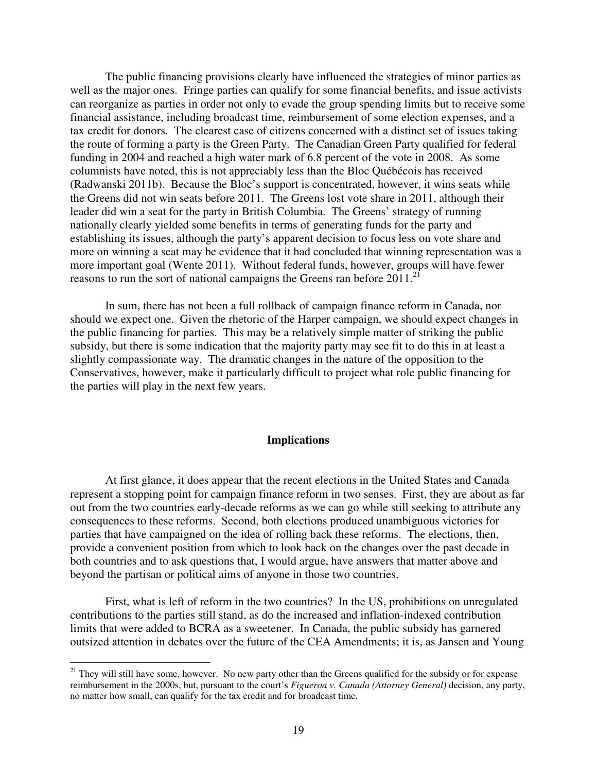The public financing provisions clearly have influenced the strategies of minor parties as well as the major ones. Fringe parties can qualify for some financial benefits, and issue activists can reorganize as parties in order not only to evade the group spending limits but to receive some financial assistance, including broadcast time, reimbursement of some election expenses, and a tax credit for donors. The clearest case of citizens concerned with a distinct set of issues taking the route of forming a party is the Green Party. The Canadian Green Party qualified for federal funding in 2004 and reached a high water mark of 6.8 percent of the vote in 2008. As some columnists have noted, this is not appreciably less than the Bloc Québécois has received (Radwanski 2011b). Because the Bloc's support is concentrated, however, it wins seats while the Greens did not win seats before 2011. The Greens lost vote share in 2011, although their leader did win a seat for the party in British Columbia. The Greens' strategy of running nationally clearly yielded some benefits in terms of generating funds for the party and establishing its issues, although the party's apparent decision to focus less on vote share and more on winning a seat may be evidence that it had concluded that winning representation was a more important goal (Wente 2011). Without federal funds, however, groups will have fewer reasons to run the sort of national campaigns the Greens ran before  $2011$ .<sup>2</sup>

 In sum, there has not been a full rollback of campaign finance reform in Canada, nor should we expect one. Given the rhetoric of the Harper campaign, we should expect changes in the public financing for parties. This may be a relatively simple matter of striking the public subsidy, but there is some indication that the majority party may see fit to do this in at least a slightly compassionate way. The dramatic changes in the nature of the opposition to the Conservatives, however, make it particularly difficult to project what role public financing for the parties will play in the next few years.

#### **Implications**

 At first glance, it does appear that the recent elections in the United States and Canada represent a stopping point for campaign finance reform in two senses. First, they are about as far out from the two countries early-decade reforms as we can go while still seeking to attribute any consequences to these reforms. Second, both elections produced unambiguous victories for parties that have campaigned on the idea of rolling back these reforms. The elections, then, provide a convenient position from which to look back on the changes over the past decade in both countries and to ask questions that, I would argue, have answers that matter above and beyond the partisan or political aims of anyone in those two countries.

 First, what is left of reform in the two countries? In the US, prohibitions on unregulated contributions to the parties still stand, as do the increased and inflation-indexed contribution limits that were added to BCRA as a sweetener. In Canada, the public subsidy has garnered outsized attention in debates over the future of the CEA Amendments; it is, as Jansen and Young

<sup>&</sup>lt;sup>21</sup> They will still have some, however. No new party other than the Greens qualified for the subsidy or for expense reimbursement in the 2000s, but, pursuant to the court's *Figueroa v. Canada (Attorney General)* decision, any party, no matter how small, can qualify for the tax credit and for broadcast time.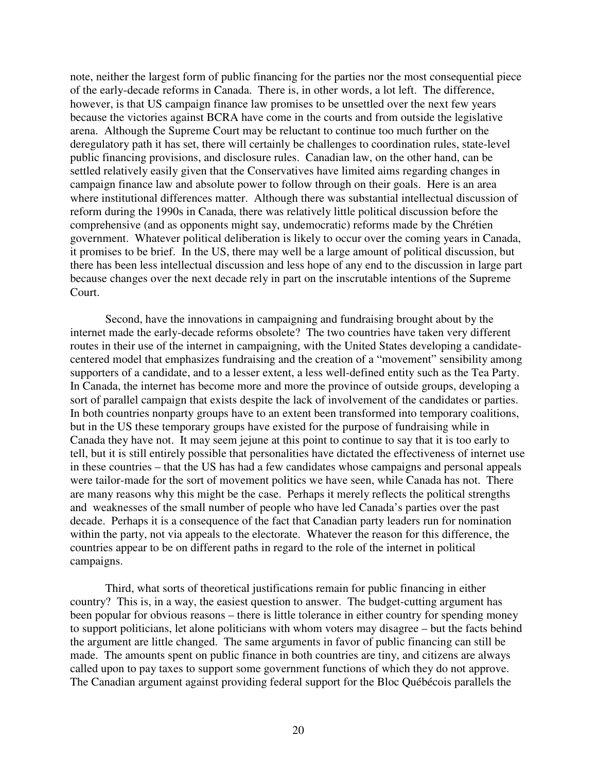note, neither the largest form of public financing for the parties nor the most consequential piece of the early-decade reforms in Canada. There is, in other words, a lot left. The difference, however, is that US campaign finance law promises to be unsettled over the next few years because the victories against BCRA have come in the courts and from outside the legislative arena. Although the Supreme Court may be reluctant to continue too much further on the deregulatory path it has set, there will certainly be challenges to coordination rules, state-level public financing provisions, and disclosure rules. Canadian law, on the other hand, can be settled relatively easily given that the Conservatives have limited aims regarding changes in campaign finance law and absolute power to follow through on their goals. Here is an area where institutional differences matter. Although there was substantial intellectual discussion of reform during the 1990s in Canada, there was relatively little political discussion before the comprehensive (and as opponents might say, undemocratic) reforms made by the Chrétien government. Whatever political deliberation is likely to occur over the coming years in Canada, it promises to be brief. In the US, there may well be a large amount of political discussion, but there has been less intellectual discussion and less hope of any end to the discussion in large part because changes over the next decade rely in part on the inscrutable intentions of the Supreme Court.

 Second, have the innovations in campaigning and fundraising brought about by the internet made the early-decade reforms obsolete? The two countries have taken very different routes in their use of the internet in campaigning, with the United States developing a candidatecentered model that emphasizes fundraising and the creation of a "movement" sensibility among supporters of a candidate, and to a lesser extent, a less well-defined entity such as the Tea Party. In Canada, the internet has become more and more the province of outside groups, developing a sort of parallel campaign that exists despite the lack of involvement of the candidates or parties. In both countries nonparty groups have to an extent been transformed into temporary coalitions, but in the US these temporary groups have existed for the purpose of fundraising while in Canada they have not. It may seem jejune at this point to continue to say that it is too early to tell, but it is still entirely possible that personalities have dictated the effectiveness of internet use in these countries – that the US has had a few candidates whose campaigns and personal appeals were tailor-made for the sort of movement politics we have seen, while Canada has not. There are many reasons why this might be the case. Perhaps it merely reflects the political strengths and weaknesses of the small number of people who have led Canada's parties over the past decade. Perhaps it is a consequence of the fact that Canadian party leaders run for nomination within the party, not via appeals to the electorate. Whatever the reason for this difference, the countries appear to be on different paths in regard to the role of the internet in political campaigns.

 Third, what sorts of theoretical justifications remain for public financing in either country? This is, in a way, the easiest question to answer. The budget-cutting argument has been popular for obvious reasons – there is little tolerance in either country for spending money to support politicians, let alone politicians with whom voters may disagree – but the facts behind the argument are little changed. The same arguments in favor of public financing can still be made. The amounts spent on public finance in both countries are tiny, and citizens are always called upon to pay taxes to support some government functions of which they do not approve. The Canadian argument against providing federal support for the Bloc Québécois parallels the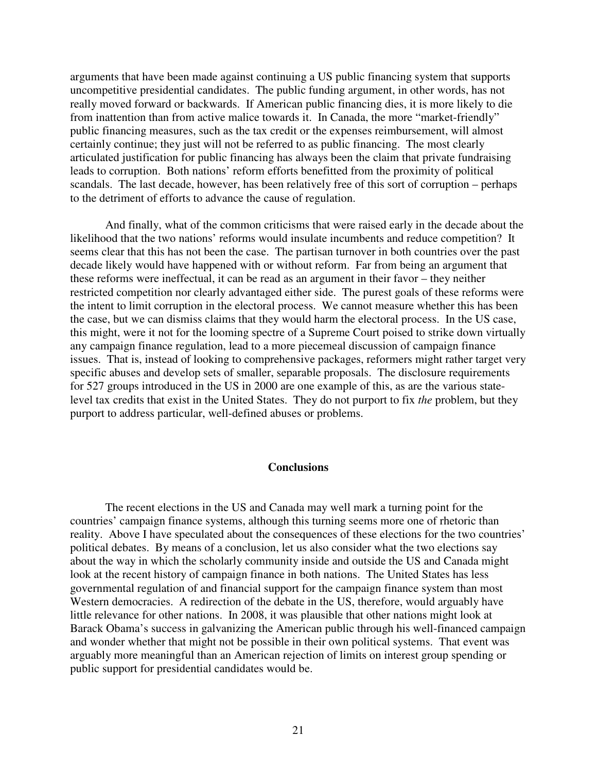arguments that have been made against continuing a US public financing system that supports uncompetitive presidential candidates. The public funding argument, in other words, has not really moved forward or backwards. If American public financing dies, it is more likely to die from inattention than from active malice towards it. In Canada, the more "market-friendly" public financing measures, such as the tax credit or the expenses reimbursement, will almost certainly continue; they just will not be referred to as public financing. The most clearly articulated justification for public financing has always been the claim that private fundraising leads to corruption. Both nations' reform efforts benefitted from the proximity of political scandals. The last decade, however, has been relatively free of this sort of corruption – perhaps to the detriment of efforts to advance the cause of regulation.

 And finally, what of the common criticisms that were raised early in the decade about the likelihood that the two nations' reforms would insulate incumbents and reduce competition? It seems clear that this has not been the case. The partisan turnover in both countries over the past decade likely would have happened with or without reform. Far from being an argument that these reforms were ineffectual, it can be read as an argument in their favor – they neither restricted competition nor clearly advantaged either side. The purest goals of these reforms were the intent to limit corruption in the electoral process. We cannot measure whether this has been the case, but we can dismiss claims that they would harm the electoral process. In the US case, this might, were it not for the looming spectre of a Supreme Court poised to strike down virtually any campaign finance regulation, lead to a more piecemeal discussion of campaign finance issues. That is, instead of looking to comprehensive packages, reformers might rather target very specific abuses and develop sets of smaller, separable proposals. The disclosure requirements for 527 groups introduced in the US in 2000 are one example of this, as are the various statelevel tax credits that exist in the United States. They do not purport to fix *the* problem, but they purport to address particular, well-defined abuses or problems.

# **Conclusions**

 The recent elections in the US and Canada may well mark a turning point for the countries' campaign finance systems, although this turning seems more one of rhetoric than reality. Above I have speculated about the consequences of these elections for the two countries' political debates. By means of a conclusion, let us also consider what the two elections say about the way in which the scholarly community inside and outside the US and Canada might look at the recent history of campaign finance in both nations. The United States has less governmental regulation of and financial support for the campaign finance system than most Western democracies. A redirection of the debate in the US, therefore, would arguably have little relevance for other nations. In 2008, it was plausible that other nations might look at Barack Obama's success in galvanizing the American public through his well-financed campaign and wonder whether that might not be possible in their own political systems. That event was arguably more meaningful than an American rejection of limits on interest group spending or public support for presidential candidates would be.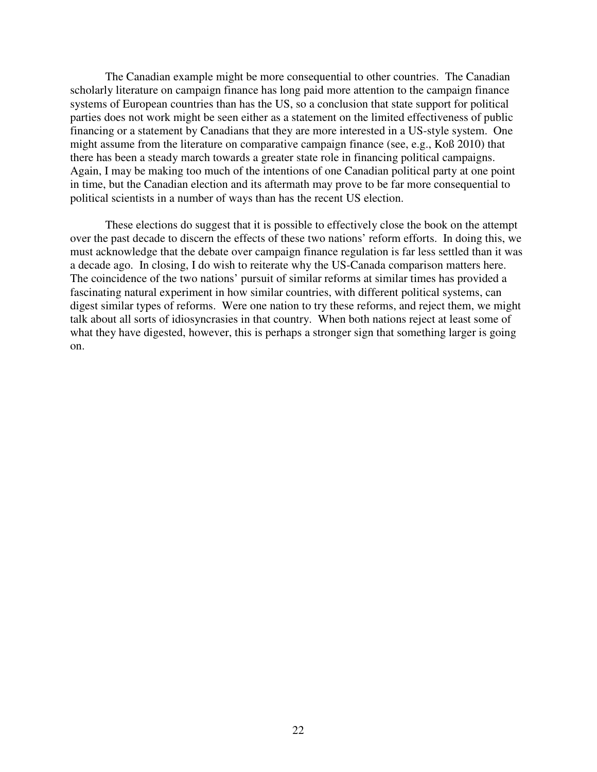The Canadian example might be more consequential to other countries. The Canadian scholarly literature on campaign finance has long paid more attention to the campaign finance systems of European countries than has the US, so a conclusion that state support for political parties does not work might be seen either as a statement on the limited effectiveness of public financing or a statement by Canadians that they are more interested in a US-style system. One might assume from the literature on comparative campaign finance (see, e.g., Koß 2010) that there has been a steady march towards a greater state role in financing political campaigns. Again, I may be making too much of the intentions of one Canadian political party at one point in time, but the Canadian election and its aftermath may prove to be far more consequential to political scientists in a number of ways than has the recent US election.

 These elections do suggest that it is possible to effectively close the book on the attempt over the past decade to discern the effects of these two nations' reform efforts. In doing this, we must acknowledge that the debate over campaign finance regulation is far less settled than it was a decade ago. In closing, I do wish to reiterate why the US-Canada comparison matters here. The coincidence of the two nations' pursuit of similar reforms at similar times has provided a fascinating natural experiment in how similar countries, with different political systems, can digest similar types of reforms. Were one nation to try these reforms, and reject them, we might talk about all sorts of idiosyncrasies in that country. When both nations reject at least some of what they have digested, however, this is perhaps a stronger sign that something larger is going on.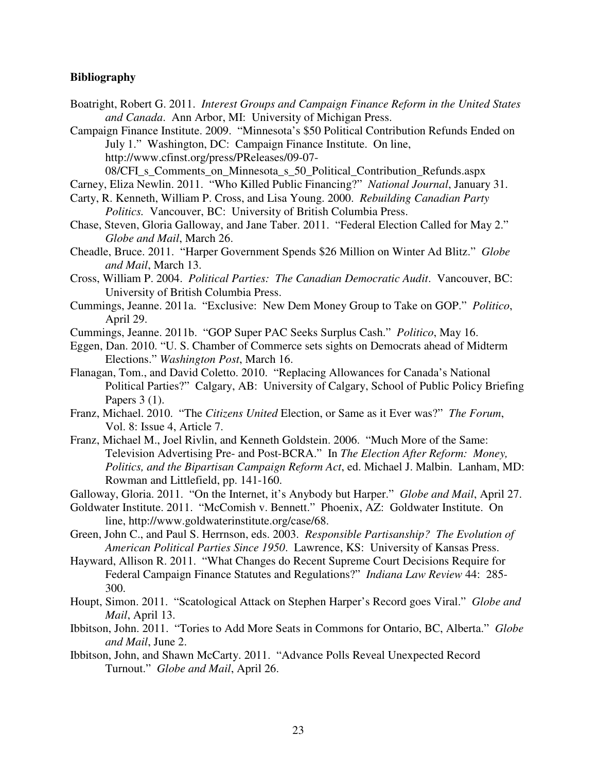## **Bibliography**

- Boatright, Robert G. 2011. *Interest Groups and Campaign Finance Reform in the United States and Canada*. Ann Arbor, MI: University of Michigan Press.
- Campaign Finance Institute. 2009. "Minnesota's \$50 Political Contribution Refunds Ended on July 1." Washington, DC: Campaign Finance Institute. On line, http://www.cfinst.org/press/PReleases/09-07-

08/CFI\_s\_Comments\_on\_Minnesota\_s\_50\_Political\_Contribution\_Refunds.aspx

Carney, Eliza Newlin. 2011. "Who Killed Public Financing?" *National Journal*, January 31.

- Carty, R. Kenneth, William P. Cross, and Lisa Young. 2000. *Rebuilding Canadian Party Politics.* Vancouver, BC: University of British Columbia Press.
- Chase, Steven, Gloria Galloway, and Jane Taber. 2011. "Federal Election Called for May 2." *Globe and Mail*, March 26.
- Cheadle, Bruce. 2011. "Harper Government Spends \$26 Million on Winter Ad Blitz." *Globe and Mail*, March 13.
- Cross, William P. 2004. *Political Parties: The Canadian Democratic Audit*. Vancouver, BC: University of British Columbia Press.
- Cummings, Jeanne. 2011a. "Exclusive: New Dem Money Group to Take on GOP." *Politico*, April 29.
- Cummings, Jeanne. 2011b. "GOP Super PAC Seeks Surplus Cash." *Politico*, May 16.
- Eggen, Dan. 2010. "U. S. Chamber of Commerce sets sights on Democrats ahead of Midterm Elections." *Washington Post*, March 16.
- Flanagan, Tom., and David Coletto. 2010. "Replacing Allowances for Canada's National Political Parties?" Calgary, AB: University of Calgary, School of Public Policy Briefing Papers 3 (1).
- Franz, Michael. 2010. "The *Citizens United* Election, or Same as it Ever was?" *The Forum*, Vol. 8: Issue 4, Article 7.
- Franz, Michael M., Joel Rivlin, and Kenneth Goldstein. 2006. "Much More of the Same: Television Advertising Pre- and Post-BCRA." In *The Election After Reform: Money, Politics, and the Bipartisan Campaign Reform Act*, ed. Michael J. Malbin. Lanham, MD: Rowman and Littlefield, pp. 141-160.
- Galloway, Gloria. 2011. "On the Internet, it's Anybody but Harper." *Globe and Mail*, April 27.
- Goldwater Institute. 2011. "McComish v. Bennett." Phoenix, AZ: Goldwater Institute. On line, http://www.goldwaterinstitute.org/case/68.
- Green, John C., and Paul S. Herrnson, eds. 2003. *Responsible Partisanship? The Evolution of American Political Parties Since 1950*. Lawrence, KS: University of Kansas Press.
- Hayward, Allison R. 2011. "What Changes do Recent Supreme Court Decisions Require for Federal Campaign Finance Statutes and Regulations?" *Indiana Law Review* 44: 285- 300.
- Houpt, Simon. 2011. "Scatological Attack on Stephen Harper's Record goes Viral." *Globe and Mail*, April 13.
- Ibbitson, John. 2011. "Tories to Add More Seats in Commons for Ontario, BC, Alberta." *Globe and Mail*, June 2.
- Ibbitson, John, and Shawn McCarty. 2011. "Advance Polls Reveal Unexpected Record Turnout." *Globe and Mail*, April 26.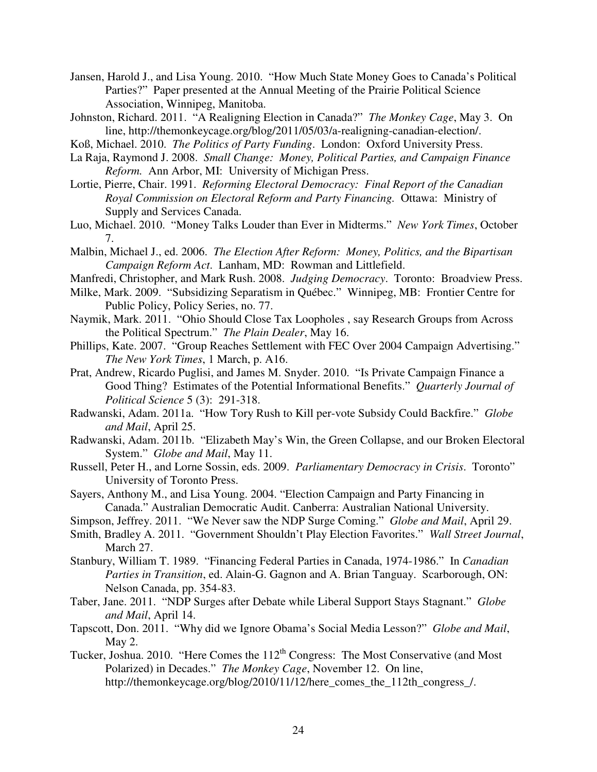- Jansen, Harold J., and Lisa Young. 2010. "How Much State Money Goes to Canada's Political Parties?" Paper presented at the Annual Meeting of the Prairie Political Science Association, Winnipeg, Manitoba.
- Johnston, Richard. 2011. "A Realigning Election in Canada?" *The Monkey Cage*, May 3. On line, http://themonkeycage.org/blog/2011/05/03/a-realigning-canadian-election/.
- Koß, Michael. 2010. *The Politics of Party Funding*. London: Oxford University Press.
- La Raja, Raymond J. 2008. *Small Change: Money, Political Parties, and Campaign Finance Reform.* Ann Arbor, MI: University of Michigan Press.
- Lortie, Pierre, Chair. 1991. *Reforming Electoral Democracy: Final Report of the Canadian Royal Commission on Electoral Reform and Party Financing.* Ottawa: Ministry of Supply and Services Canada.
- Luo, Michael. 2010. "Money Talks Louder than Ever in Midterms." *New York Times*, October 7.
- Malbin, Michael J., ed. 2006. *The Election After Reform: Money, Politics, and the Bipartisan Campaign Reform Act*. Lanham, MD: Rowman and Littlefield.
- Manfredi, Christopher, and Mark Rush. 2008. *Judging Democracy*. Toronto: Broadview Press.
- Milke, Mark. 2009. "Subsidizing Separatism in Québec." Winnipeg, MB: Frontier Centre for Public Policy, Policy Series, no. 77.
- Naymik, Mark. 2011. "Ohio Should Close Tax Loopholes , say Research Groups from Across the Political Spectrum." *The Plain Dealer*, May 16.
- Phillips, Kate. 2007. "Group Reaches Settlement with FEC Over 2004 Campaign Advertising." *The New York Times*, 1 March, p. A16.
- Prat, Andrew, Ricardo Puglisi, and James M. Snyder. 2010. "Is Private Campaign Finance a Good Thing? Estimates of the Potential Informational Benefits." *Quarterly Journal of Political Science* 5 (3): 291-318.
- Radwanski, Adam. 2011a. "How Tory Rush to Kill per-vote Subsidy Could Backfire." *Globe and Mail*, April 25.
- Radwanski, Adam. 2011b. "Elizabeth May's Win, the Green Collapse, and our Broken Electoral System." *Globe and Mail*, May 11.
- Russell, Peter H., and Lorne Sossin, eds. 2009. *Parliamentary Democracy in Crisis*. Toronto" University of Toronto Press.
- Sayers, Anthony M., and Lisa Young. 2004. "Election Campaign and Party Financing in Canada." Australian Democratic Audit. Canberra: Australian National University.
- Simpson, Jeffrey. 2011. "We Never saw the NDP Surge Coming." *Globe and Mail*, April 29.
- Smith, Bradley A. 2011. "Government Shouldn't Play Election Favorites." *Wall Street Journal*, March 27.
- Stanbury, William T. 1989. "Financing Federal Parties in Canada, 1974-1986." In *Canadian Parties in Transition*, ed. Alain-G. Gagnon and A. Brian Tanguay. Scarborough, ON: Nelson Canada, pp. 354-83.
- Taber, Jane. 2011. "NDP Surges after Debate while Liberal Support Stays Stagnant." *Globe and Mail*, April 14.
- Tapscott, Don. 2011. "Why did we Ignore Obama's Social Media Lesson?" *Globe and Mail*, May 2.
- Tucker, Joshua. 2010. "Here Comes the  $112<sup>th</sup>$  Congress: The Most Conservative (and Most Polarized) in Decades." *The Monkey Cage*, November 12. On line, http://themonkeycage.org/blog/2010/11/12/here comes the 112th congress /.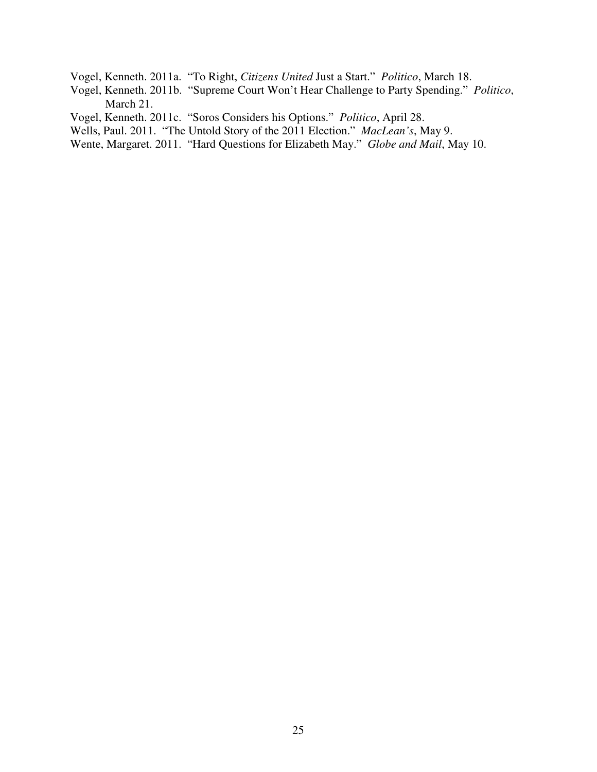Vogel, Kenneth. 2011a. "To Right, *Citizens United* Just a Start." *Politico*, March 18.

- Vogel, Kenneth. 2011b. "Supreme Court Won't Hear Challenge to Party Spending." *Politico*, March 21.
- Vogel, Kenneth. 2011c. "Soros Considers his Options." *Politico*, April 28.

Wells, Paul. 2011. "The Untold Story of the 2011 Election." *MacLean's*, May 9.

Wente, Margaret. 2011. "Hard Questions for Elizabeth May." *Globe and Mail*, May 10.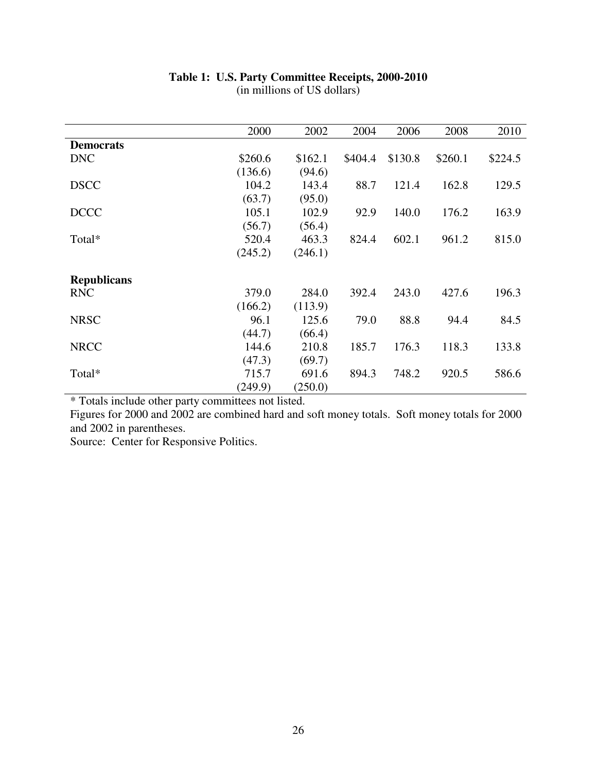|                    | 2000    | 2002    | 2004    | 2006    | 2008    | 2010    |
|--------------------|---------|---------|---------|---------|---------|---------|
| <b>Democrats</b>   |         |         |         |         |         |         |
| <b>DNC</b>         | \$260.6 | \$162.1 | \$404.4 | \$130.8 | \$260.1 | \$224.5 |
|                    | (136.6) | (94.6)  |         |         |         |         |
| <b>DSCC</b>        | 104.2   | 143.4   | 88.7    | 121.4   | 162.8   | 129.5   |
|                    | (63.7)  | (95.0)  |         |         |         |         |
| <b>DCCC</b>        | 105.1   | 102.9   | 92.9    | 140.0   | 176.2   | 163.9   |
|                    | (56.7)  | (56.4)  |         |         |         |         |
| Total*             | 520.4   | 463.3   | 824.4   | 602.1   | 961.2   | 815.0   |
|                    | (245.2) | (246.1) |         |         |         |         |
|                    |         |         |         |         |         |         |
| <b>Republicans</b> |         |         |         |         |         |         |
| <b>RNC</b>         | 379.0   | 284.0   | 392.4   | 243.0   | 427.6   | 196.3   |
|                    | (166.2) | (113.9) |         |         |         |         |
| <b>NRSC</b>        | 96.1    | 125.6   | 79.0    | 88.8    | 94.4    | 84.5    |
|                    | (44.7)  | (66.4)  |         |         |         |         |
| <b>NRCC</b>        | 144.6   | 210.8   | 185.7   | 176.3   | 118.3   | 133.8   |
|                    | (47.3)  | (69.7)  |         |         |         |         |
| Total*             | 715.7   | 691.6   | 894.3   | 748.2   | 920.5   | 586.6   |
|                    | (249.9) | (250.0) |         |         |         |         |

# **Table 1: U.S. Party Committee Receipts, 2000-2010**

(in millions of US dollars)

\* Totals include other party committees not listed.

Figures for 2000 and 2002 are combined hard and soft money totals. Soft money totals for 2000 and 2002 in parentheses.

Source: Center for Responsive Politics.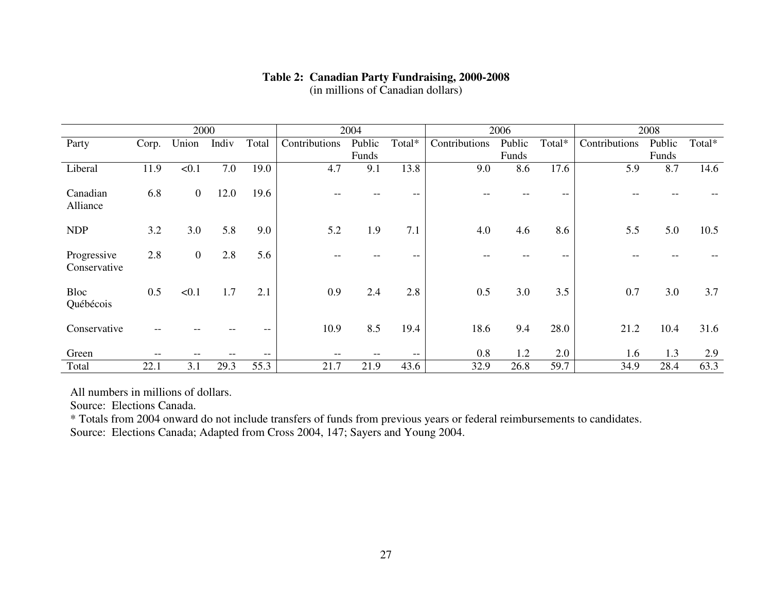# **Table 2: Canadian Party Fundraising, 2000-2008**

(in millions of Canadian dollars)

|                             | 2000  |                  |       | 2004  |               | 2006   |        |               | 2008   |        |               |        |        |
|-----------------------------|-------|------------------|-------|-------|---------------|--------|--------|---------------|--------|--------|---------------|--------|--------|
| Party                       | Corp. | Union            | Indiv | Total | Contributions | Public | Total* | Contributions | Public | Total* | Contributions | Public | Total* |
|                             |       |                  |       |       |               | Funds  |        |               | Funds  |        |               | Funds  |        |
| Liberal                     | 11.9  | < 0.1            | 7.0   | 19.0  | 4.7           | 9.1    | 13.8   | 9.0           | 8.6    | 17.6   | 5.9           | 8.7    | 14.6   |
| Canadian<br>Alliance        | 6.8   | $\boldsymbol{0}$ | 12.0  | 19.6  |               |        | --     |               |        |        |               |        |        |
| <b>NDP</b>                  | 3.2   | 3.0              | 5.8   | 9.0   | 5.2           | 1.9    | 7.1    | 4.0           | 4.6    | 8.6    | 5.5           | 5.0    | 10.5   |
| Progressive<br>Conservative | 2.8   | $\boldsymbol{0}$ | 2.8   | 5.6   |               |        | --     |               |        | --     |               |        |        |
| <b>Bloc</b><br>Québécois    | 0.5   | < 0.1            | 1.7   | 2.1   | 0.9           | 2.4    | 2.8    | 0.5           | 3.0    | 3.5    | 0.7           | 3.0    | 3.7    |
| Conservative                |       |                  |       |       | 10.9          | 8.5    | 19.4   | 18.6          | 9.4    | 28.0   | 21.2          | 10.4   | 31.6   |
| Green                       |       |                  |       | --    |               |        | --     | 0.8           | 1.2    | 2.0    | 1.6           | 1.3    | 2.9    |
| Total                       | 22.1  | 3.1              | 29.3  | 55.3  | 21.7          | 21.9   | 43.6   | 32.9          | 26.8   | 59.7   | 34.9          | 28.4   | 63.3   |

All numbers in millions of dollars.

Source: Elections Canada.

 \* Totals from 2004 onward do not include transfers of funds from previous years or federal reimbursements to candidates. Source: Elections Canada; Adapted from Cross 2004, 147; Sayers and Young 2004.